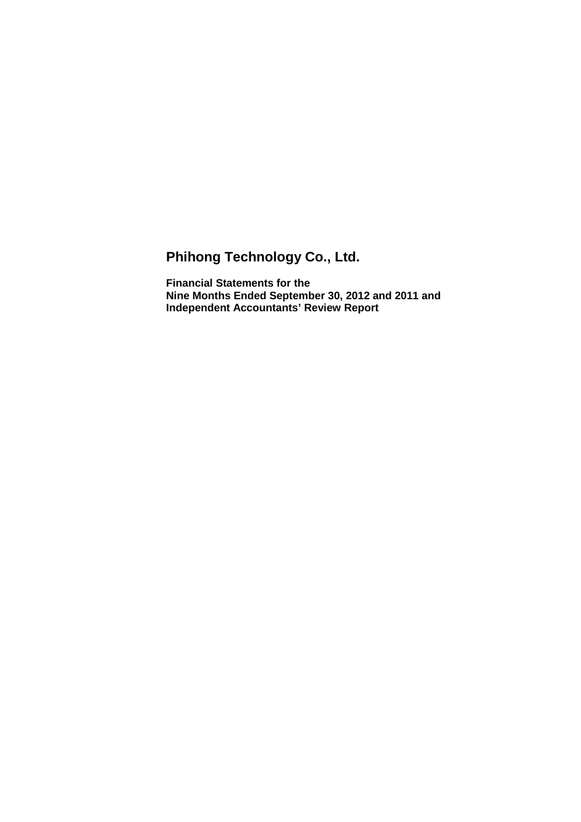# **Phihong Technology Co., Ltd.**

**Financial Statements for the Nine Months Ended September 30, 2012 and 2011 and Independent Accountants' Review Report**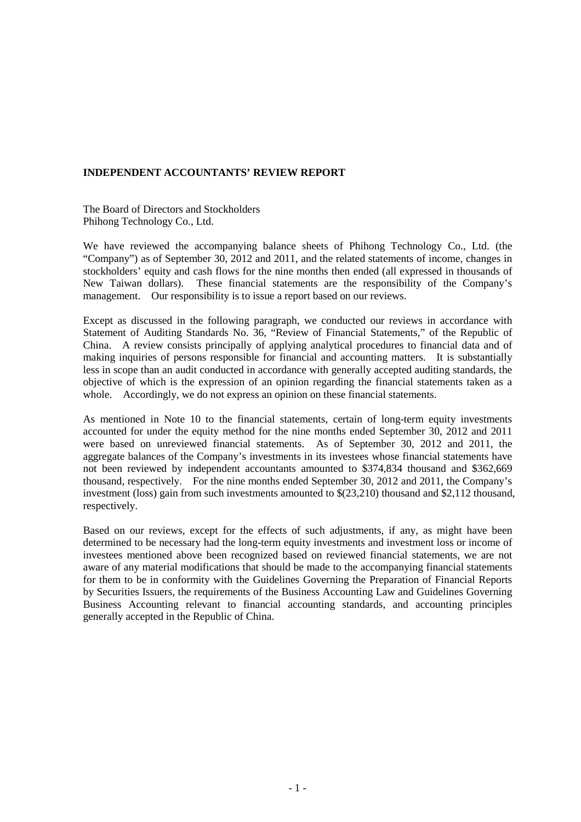## **INDEPENDENT ACCOUNTANTS' REVIEW REPORT**

The Board of Directors and Stockholders Phihong Technology Co., Ltd.

We have reviewed the accompanying balance sheets of Phihong Technology Co., Ltd. (the "Company") as of September 30, 2012 and 2011, and the related statements of income, changes in stockholders' equity and cash flows for the nine months then ended (all expressed in thousands of New Taiwan dollars). These financial statements are the responsibility of the Company's management. Our responsibility is to issue a report based on our reviews.

Except as discussed in the following paragraph, we conducted our reviews in accordance with Statement of Auditing Standards No. 36, "Review of Financial Statements," of the Republic of China. A review consists principally of applying analytical procedures to financial data and of making inquiries of persons responsible for financial and accounting matters. It is substantially less in scope than an audit conducted in accordance with generally accepted auditing standards, the objective of which is the expression of an opinion regarding the financial statements taken as a whole. Accordingly, we do not express an opinion on these financial statements.

As mentioned in Note 10 to the financial statements, certain of long-term equity investments accounted for under the equity method for the nine months ended September 30, 2012 and 2011 were based on unreviewed financial statements. As of September 30, 2012 and 2011, the aggregate balances of the Company's investments in its investees whose financial statements have not been reviewed by independent accountants amounted to \$374,834 thousand and \$362,669 thousand, respectively. For the nine months ended September 30, 2012 and 2011, the Company's investment (loss) gain from such investments amounted to \$(23,210) thousand and \$2,112 thousand, respectively.

Based on our reviews, except for the effects of such adjustments, if any, as might have been determined to be necessary had the long-term equity investments and investment loss or income of investees mentioned above been recognized based on reviewed financial statements, we are not aware of any material modifications that should be made to the accompanying financial statements for them to be in conformity with the Guidelines Governing the Preparation of Financial Reports by Securities Issuers, the requirements of the Business Accounting Law and Guidelines Governing Business Accounting relevant to financial accounting standards, and accounting principles generally accepted in the Republic of China.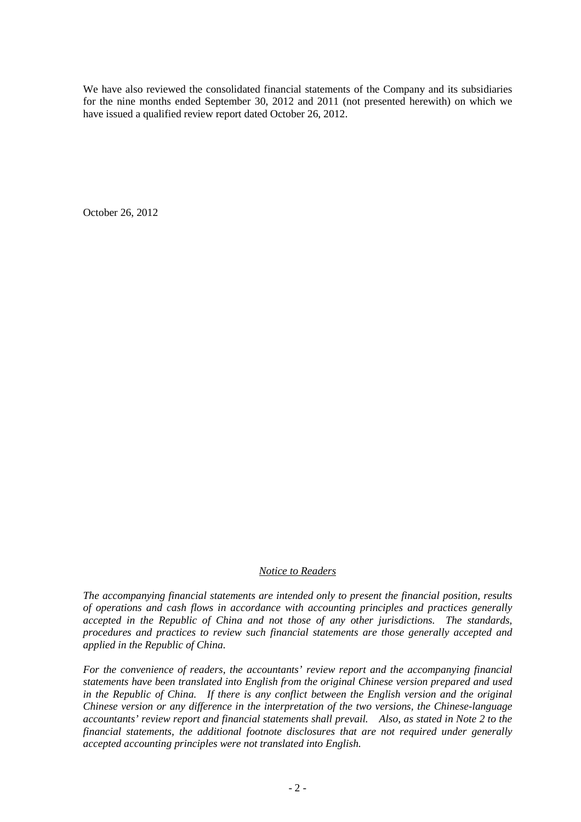We have also reviewed the consolidated financial statements of the Company and its subsidiaries for the nine months ended September 30, 2012 and 2011 (not presented herewith) on which we have issued a qualified review report dated October 26, 2012.

October 26, 2012

## *Notice to Readers*

*The accompanying financial statements are intended only to present the financial position, results of operations and cash flows in accordance with accounting principles and practices generally accepted in the Republic of China and not those of any other jurisdictions. The standards, procedures and practices to review such financial statements are those generally accepted and applied in the Republic of China.* 

*For the convenience of readers, the accountants' review report and the accompanying financial statements have been translated into English from the original Chinese version prepared and used in the Republic of China. If there is any conflict between the English version and the original Chinese version or any difference in the interpretation of the two versions, the Chinese-language accountants' review report and financial statements shall prevail. Also, as stated in Note 2 to the financial statements, the additional footnote disclosures that are not required under generally accepted accounting principles were not translated into English.*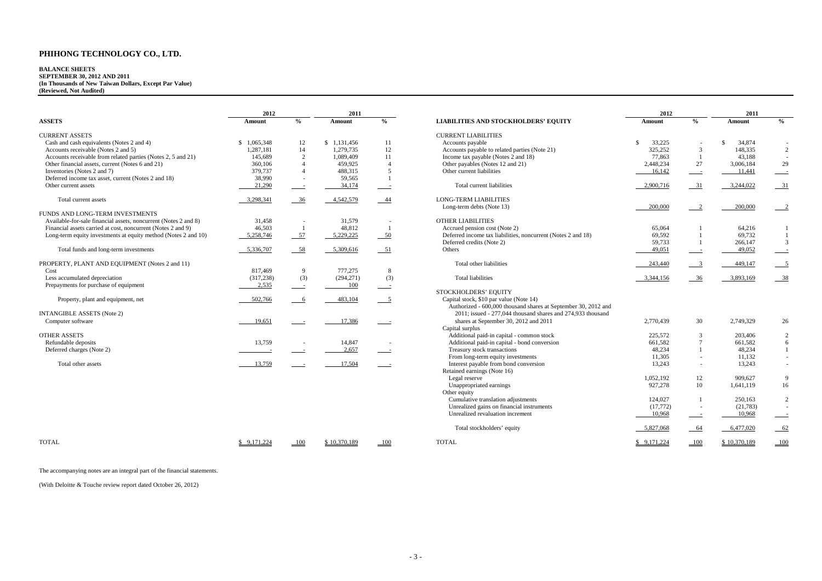#### **BALANCE SHEETS SEPTEMBER 30, 2012 AND 2011 (In Thousands of New Taiwan Dollars, Except Par Value) (Reviewed, Not Audited)**

|                                                                 | 2012        |                          | 2011        |               |                                                                | 2012          |                          | 2011      |                |
|-----------------------------------------------------------------|-------------|--------------------------|-------------|---------------|----------------------------------------------------------------|---------------|--------------------------|-----------|----------------|
| <b>ASSETS</b>                                                   | Amount      | $\frac{6}{6}$            | Amount      | $\frac{0}{0}$ | <b>LIABILITIES AND STOCKHOLDERS' EQUITY</b>                    | Amount        | $\frac{0}{0}$            | Amount    | $\frac{0}{0}$  |
| <b>CURRENT ASSETS</b>                                           |             |                          |             |               | <b>CURRENT LIABILITIES</b>                                     |               |                          |           |                |
| Cash and cash equivalents (Notes 2 and 4)                       | \$1,065,348 | 12                       | \$1,131,456 | 11            | Accounts payable                                               | 33,225<br>-\$ |                          | 34,874    |                |
| Accounts receivable (Notes 2 and 5)                             | 1,287,181   | 14                       | 1,279,735   | 12            | Accounts payable to related parties (Note 21)                  | 325,252       | $\mathfrak{Z}$           | 148,335   | $\overline{2}$ |
| Accounts receivable from related parties (Notes 2, 5 and 21)    | 145,689     | 2                        | 1.089.409   | 11            | Income tax payable (Notes 2 and 18)                            | 77,863        |                          | 43,188    |                |
| Other financial assets, current (Notes 6 and 21)                | 360,106     |                          | 459,925     |               | Other payables (Notes 12 and 21)                               | 2,448,234     | 27                       | 3,006,184 | 29             |
| Inventories (Notes 2 and 7)                                     | 379,737     | $\Delta$                 | 488,315     |               | Other current liabilities                                      | 16,142        | $\sim$ $-$               | 11,441    |                |
| Deferred income tax asset, current (Notes 2 and 18)             | 38,990      | $\overline{\phantom{a}}$ | 59,565      |               |                                                                |               |                          |           |                |
| Other current assets                                            | 21,290      | $\sim$                   | 34,174      |               | Total current liabilities                                      | 2,900,716     | $-31$                    | 3,244,022 | 31             |
| Total current assets                                            | 3,298,341   | $-36$                    | 4,542,579   | -44           | <b>LONG-TERM LIABILITIES</b>                                   |               |                          |           |                |
|                                                                 |             |                          |             |               | Long-term debts (Note 13)                                      | 200,000       | 2                        | 200,000   |                |
| FUNDS AND LONG-TERM INVESTMENTS                                 |             |                          |             |               |                                                                |               |                          |           |                |
| Available-for-sale financial assets, noncurrent (Notes 2 and 8) | 31,458      |                          | 31,579      |               | <b>OTHER LIABILITIES</b>                                       |               |                          |           |                |
| Financial assets carried at cost, noncurrent (Notes 2 and 9)    | 46,503      |                          | 48,812      |               | Accrued pension cost (Note 2)                                  | 65,064        |                          | 64,216    |                |
| Long-term equity investments at equity method (Notes 2 and 10)  | 5,258,746   | $-57$                    | 5,229,225   | $-50$         | Deferred income tax liabilities, noncurrent (Notes 2 and 18)   | 69,592        |                          | 69,732    |                |
|                                                                 |             |                          |             |               | Deferred credits (Note 2)                                      | 59,733        |                          | 266,147   |                |
| Total funds and long-term investments                           | 5,336,707   | $-58$                    | 5,309,616   | $-51$         | Others                                                         | 49,051        | $\sim$                   | 49,052    |                |
| PROPERTY, PLANT AND EQUIPMENT (Notes 2 and 11)                  |             |                          |             |               | Total other liabilities                                        | 243,440       |                          | 449,147   |                |
| Cost                                                            | 817,469     | 9                        | 777,275     | 8             |                                                                |               |                          |           |                |
| Less accumulated depreciation                                   | (317, 238)  | (3)                      | (294, 271)  | (3)           | <b>Total liabilities</b>                                       | 3,344,156     | 36                       | 3,893,169 | -38            |
| Prepayments for purchase of equipment                           | 2,535       | $\sim$ $-$               | 100         |               |                                                                |               |                          |           |                |
|                                                                 |             |                          |             |               | STOCKHOLDERS' EQUITY                                           |               |                          |           |                |
| Property, plant and equipment, net                              | 502,766     | 6                        | 483,104     |               | Capital stock, \$10 par value (Note 14)                        |               |                          |           |                |
|                                                                 |             |                          |             |               | Authorized - 600,000 thousand shares at September 30, 2012 and |               |                          |           |                |
| <b>INTANGIBLE ASSETS (Note 2)</b>                               |             |                          |             |               | 2011; issued - 277,044 thousand shares and 274,933 thousand    |               |                          |           |                |
| Computer software                                               | 19,651      |                          | 17,386      |               | shares at September 30, 2012 and 2011                          | 2,770,439     | 30                       | 2,749,329 | 26             |
|                                                                 |             |                          |             |               | Capital surplus                                                |               |                          |           |                |
| <b>OTHER ASSETS</b>                                             |             |                          |             |               | Additional paid-in capital - common stock                      | 225,572       | 3                        | 203,406   |                |
| Refundable deposits                                             | 13,759      | $\overline{\phantom{a}}$ | 14,847      |               | Additional paid-in capital - bond conversion                   | 661,582       | $7\phantom{.0}$          | 661,582   |                |
| Deferred charges (Note 2)                                       |             |                          | 2,657       |               | Treasury stock transactions                                    | 48,234        |                          | 48,234    |                |
|                                                                 |             |                          |             |               | From long-term equity investments                              | 11,305        | $\sim$                   | 11,132    |                |
| Total other assets                                              | 13,759      |                          | 17,504      |               | Interest payable from bond conversion                          | 13,243        | $\overline{\phantom{a}}$ | 13,243    |                |
|                                                                 |             |                          |             |               | Retained earnings (Note 16)                                    |               |                          |           |                |
|                                                                 |             |                          |             |               | Legal reserve                                                  | 1,052,192     | 12                       | 909,627   |                |
|                                                                 |             |                          |             |               | Unappropriated earnings                                        | 927,278       | 10                       | 1,641,119 | 16             |
|                                                                 |             |                          |             |               | Other equity                                                   |               |                          |           |                |
|                                                                 |             |                          |             |               |                                                                |               |                          |           |                |

TOTAL \$ 9,171,224 100 \$ 10,370,189 100 TOTAL \$ 9,171,224 100 \$ 10,370,189 100

|                |                                                                | 2012         |                             | 2011         |                          |  |  |
|----------------|----------------------------------------------------------------|--------------|-----------------------------|--------------|--------------------------|--|--|
| $\frac{0}{0}$  | <b>LIABILITIES AND STOCKHOLDERS' EQUITY</b>                    | Amount       | $\overline{\frac{0}{0}}$    | Amount       | $\overline{\frac{0}{0}}$ |  |  |
|                | <b>CURRENT LIABILITIES</b>                                     |              |                             |              |                          |  |  |
| 11             | Accounts payable                                               | \$<br>33,225 |                             | \$<br>34,874 |                          |  |  |
| 12             | Accounts payable to related parties (Note 21)                  | 325,252      | $\ensuremath{\mathfrak{Z}}$ | 148,335      | $\overline{c}$           |  |  |
| 11             | Income tax payable (Notes 2 and 18)                            | 77,863       | $\mathbf{1}$                | 43,188       |                          |  |  |
| $\overline{4}$ | Other payables (Notes 12 and 21)                               | 2,448,234    | 27                          | 3,006,184    | 29                       |  |  |
| 5              | Other current liabilities                                      | 16,142       | $\overline{a}$              | 11,441       |                          |  |  |
|                |                                                                |              |                             |              |                          |  |  |
|                | Total current liabilities                                      | 2,900,716    | 31                          | 3,244,022    | 31                       |  |  |
| 44             | <b>LONG-TERM LIABILITIES</b>                                   |              |                             |              |                          |  |  |
|                | Long-term debts (Note 13)                                      | 200,000      | $\overline{2}$              | 200,000      | $\overline{2}$           |  |  |
|                |                                                                |              |                             |              |                          |  |  |
|                | OTHER LIABILITIES                                              |              |                             |              |                          |  |  |
| $\mathbf{1}$   | Accrued pension cost (Note 2)                                  | 65,064       | 1                           | 64,216       | 1                        |  |  |
| 50             | Deferred income tax liabilities, noncurrent (Notes 2 and 18)   | 69,592       |                             | 69,732       | $\mathbf{1}$             |  |  |
|                | Deferred credits (Note 2)                                      | 59,733       | $\mathbf{1}$                | 266,147      | 3                        |  |  |
| 51             | Others                                                         | 49,051       |                             | 49,052       |                          |  |  |
|                |                                                                |              |                             |              |                          |  |  |
|                | Total other liabilities                                        | 243,440      | $\overline{3}$              | 449,147      | $\overline{5}$           |  |  |
| $\,8\,$        |                                                                |              |                             |              |                          |  |  |
| (3)            | <b>Total liabilities</b>                                       | 3,344,156    | 36                          | 3,893,169    | 38                       |  |  |
|                |                                                                |              |                             |              |                          |  |  |
|                | STOCKHOLDERS' EQUITY                                           |              |                             |              |                          |  |  |
| 5              | Capital stock, \$10 par value (Note 14)                        |              |                             |              |                          |  |  |
|                | Authorized - 600,000 thousand shares at September 30, 2012 and |              |                             |              |                          |  |  |
|                | 2011; issued - 277,044 thousand shares and 274,933 thousand    |              |                             |              |                          |  |  |
|                | shares at September 30, 2012 and 2011                          | 2,770,439    | 30                          | 2,749,329    | 26                       |  |  |
|                | Capital surplus                                                |              |                             |              |                          |  |  |
|                | Additional paid-in capital - common stock                      | 225,572      | 3                           | 203,406      | 2                        |  |  |
|                | Additional paid-in capital - bond conversion                   | 661,582      | 7                           | 661,582      | 6                        |  |  |
|                | Treasury stock transactions                                    | 48,234       | 1                           | 48,234       | 1                        |  |  |
|                | From long-term equity investments                              | 11,305       |                             | 11,132       |                          |  |  |
|                | Interest payable from bond conversion                          | 13,243       |                             | 13,243       |                          |  |  |
|                | Retained earnings (Note 16)                                    |              |                             |              |                          |  |  |
|                | Legal reserve                                                  | 1,052,192    | 12                          | 909,627      | 9                        |  |  |
|                | Unappropriated earnings                                        | 927,278      | 10                          | 1,641,119    | 16                       |  |  |
|                | Other equity                                                   |              |                             |              |                          |  |  |
|                | Cumulative translation adjustments                             | 124,027      | $\mathbf{1}$                | 250,163      | $\overline{2}$           |  |  |
|                | Unrealized gains on financial instruments                      | (17,772)     |                             | (21, 783)    |                          |  |  |
|                | Unrealized revaluation increment                               | 10,968       |                             | 10,968       |                          |  |  |
|                | Total stockholders' equity                                     | 5,827,068    | 64                          | 6,477,020    | 62                       |  |  |

The accompanying notes are an integral part of the financial statements.

(With Deloitte & Touche review report dated October 26, 2012)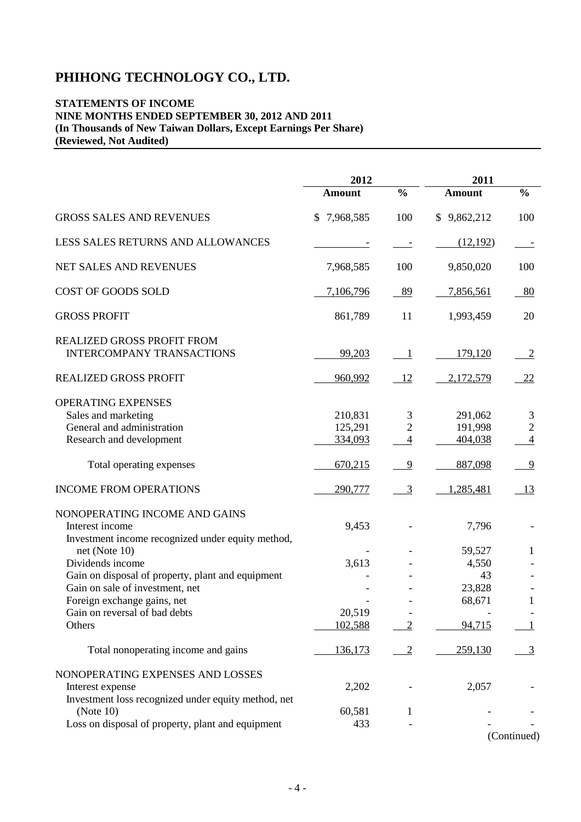## **STATEMENTS OF INCOME NINE MONTHS ENDED SEPTEMBER 30, 2012 AND 2011 (In Thousands of New Taiwan Dollars, Except Earnings Per Share) (Reviewed, Not Audited)**

|                                                                                                             | 2012                          |                                       | 2011                          |                                   |
|-------------------------------------------------------------------------------------------------------------|-------------------------------|---------------------------------------|-------------------------------|-----------------------------------|
|                                                                                                             | <b>Amount</b>                 | $\frac{0}{0}$                         | <b>Amount</b>                 | $\frac{0}{0}$                     |
| <b>GROSS SALES AND REVENUES</b>                                                                             | 7,968,585<br>S                | 100                                   | \$9,862,212                   | 100                               |
| LESS SALES RETURNS AND ALLOWANCES                                                                           |                               |                                       | (12,192)                      |                                   |
| NET SALES AND REVENUES                                                                                      | 7,968,585                     | 100                                   | 9,850,020                     | 100                               |
| COST OF GOODS SOLD                                                                                          | 7,106,796                     | $-89$                                 | 7,856,561                     | $-80$                             |
| <b>GROSS PROFIT</b>                                                                                         | 861,789                       | 11                                    | 1,993,459                     | 20                                |
| REALIZED GROSS PROFIT FROM<br><b>INTERCOMPANY TRANSACTIONS</b>                                              | 99,203                        | $\overline{\phantom{0}}$              | 179,120                       | $\overline{2}$                    |
| <b>REALIZED GROSS PROFIT</b>                                                                                | 960,992                       | 12                                    | 2,172,579                     | 22                                |
| OPERATING EXPENSES<br>Sales and marketing<br>General and administration<br>Research and development         | 210,831<br>125,291<br>334,093 | 3<br>$\overline{c}$<br>$\overline{4}$ | 291,062<br>191,998<br>404,038 | 3<br>$\sqrt{2}$<br>$\overline{4}$ |
| Total operating expenses                                                                                    | 670,215                       | 9                                     | 887,098                       | $\overline{9}$                    |
| <b>INCOME FROM OPERATIONS</b>                                                                               | 290,777                       | $\overline{3}$                        | 1,285,481                     | 13                                |
| NONOPERATING INCOME AND GAINS<br>Interest income<br>Investment income recognized under equity method,       | 9,453                         |                                       | 7,796                         |                                   |
| net (Note $10$ )                                                                                            |                               |                                       | 59,527                        | 1                                 |
| Dividends income                                                                                            | 3,613                         |                                       | 4,550<br>43                   |                                   |
| Gain on disposal of property, plant and equipment<br>Gain on sale of investment, net                        |                               |                                       | 23,828                        |                                   |
| Foreign exchange gains, net                                                                                 |                               |                                       | 68,671                        | 1                                 |
| Gain on reversal of bad debts                                                                               | 20,519                        |                                       |                               |                                   |
| Others                                                                                                      | 102,588                       | $\overline{2}$                        | 94,715                        |                                   |
| Total nonoperating income and gains                                                                         | 136,173                       | $\overline{2}$                        | 259,130                       | $\overline{3}$                    |
| NONOPERATING EXPENSES AND LOSSES<br>Interest expense<br>Investment loss recognized under equity method, net | 2,202                         |                                       | 2,057                         |                                   |
| (Note 10)                                                                                                   | 60,581                        | 1                                     |                               |                                   |
| Loss on disposal of property, plant and equipment                                                           | 433                           |                                       |                               |                                   |
|                                                                                                             |                               |                                       |                               | (Continued)                       |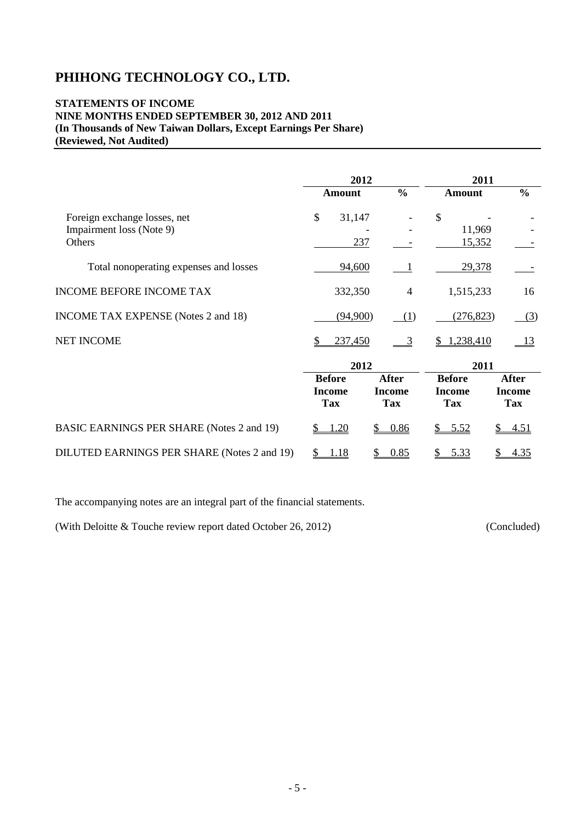## **STATEMENTS OF INCOME NINE MONTHS ENDED SEPTEMBER 30, 2012 AND 2011 (In Thousands of New Taiwan Dollars, Except Earnings Per Share) (Reviewed, Not Audited)**

|                                                          | 2012                                         |                                             |                                              | 2011                                        |
|----------------------------------------------------------|----------------------------------------------|---------------------------------------------|----------------------------------------------|---------------------------------------------|
|                                                          | <b>Amount</b>                                | $\frac{0}{0}$                               | <b>Amount</b>                                | $\frac{0}{0}$                               |
| Foreign exchange losses, net<br>Impairment loss (Note 9) | \$<br>31,147                                 |                                             | \$<br>11,969                                 |                                             |
| Others                                                   | 237                                          |                                             | 15,352                                       |                                             |
| Total nonoperating expenses and losses                   | 94,600                                       |                                             | 29,378                                       |                                             |
| <b>INCOME BEFORE INCOME TAX</b>                          | 332,350                                      | $\overline{4}$                              | 1,515,233                                    | 16                                          |
| <b>INCOME TAX EXPENSE</b> (Notes 2 and 18)               | (94,900)                                     | (1)                                         | (276, 823)                                   | (3)                                         |
| <b>NET INCOME</b>                                        | 237,450<br>\$                                | $\overline{3}$                              | 1,238,410                                    | 13                                          |
|                                                          | 2012                                         |                                             |                                              | 2011                                        |
|                                                          | <b>Before</b><br><b>Income</b><br><b>Tax</b> | <b>After</b><br><b>Income</b><br><b>Tax</b> | <b>Before</b><br><b>Income</b><br><b>Tax</b> | <b>After</b><br><b>Income</b><br><b>Tax</b> |
| <b>BASIC EARNINGS PER SHARE (Notes 2 and 19)</b>         | .20                                          | 0.86<br>\$                                  | \$5.52                                       | 4.51                                        |
| DILUTED EARNINGS PER SHARE (Notes 2 and 19)              | 1.18<br>\$                                   | 0.85<br>\$                                  | 5.33<br>$\frac{1}{2}$                        | 4.35<br>\$                                  |

The accompanying notes are an integral part of the financial statements.

(With Deloitte & Touche review report dated October 26, 2012) (Concluded)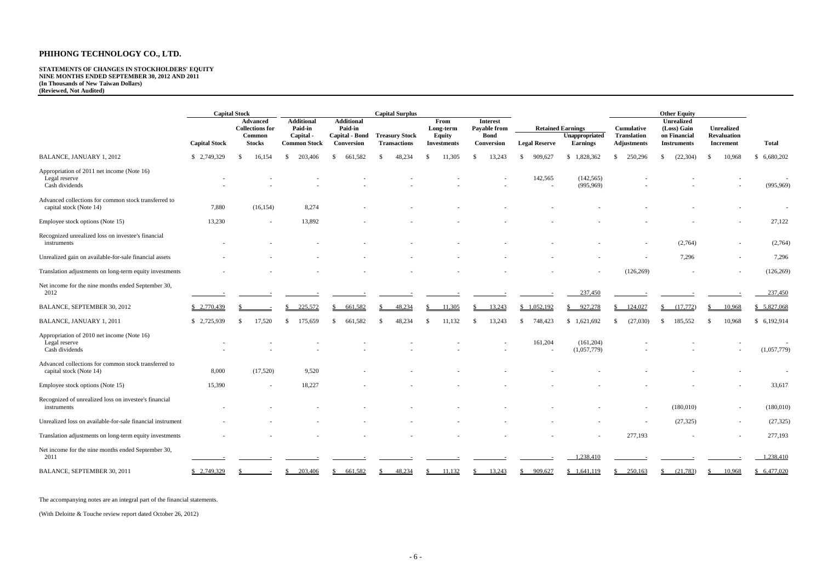# **STATEMENTS OF CHANGES IN STOCKHOLDERS' EQUITY NINE MONTHS ENDED SEPTEMBER 30, 2012 AND 2011 (In Thousands of New Taiwan Dollars) (Reviewed, Not Audited)**

|                                                                                 |                      | <b>Capital Stock</b>                      |                                     |                              | <b>Capital Surplus</b>                       |                                     |                                 |                      |                                   |                                          | <b>Other Equity</b>                |                                        |                 |
|---------------------------------------------------------------------------------|----------------------|-------------------------------------------|-------------------------------------|------------------------------|----------------------------------------------|-------------------------------------|---------------------------------|----------------------|-----------------------------------|------------------------------------------|------------------------------------|----------------------------------------|-----------------|
|                                                                                 |                      | <b>Advanced</b><br><b>Collections for</b> | <b>Additional</b><br><b>Paid-in</b> | <b>Additional</b><br>Paid-in |                                              | From<br>Long-term                   | <b>Interest</b><br>Payable from |                      | <b>Retained Earnings</b>          | <b>Cumulative</b>                        | <b>Unrealized</b><br>(Loss) Gain   | <b>Unrealized</b>                      |                 |
|                                                                                 | <b>Capital Stock</b> | <b>Common</b><br><b>Stocks</b>            | Capital -<br><b>Common Stock</b>    | Capital - Bond<br>Conversion | <b>Treasury Stock</b><br><b>Transactions</b> | <b>Equity</b><br><b>Investments</b> | <b>Bond</b><br>Conversion       | <b>Legal Reserve</b> | Unappropriated<br><b>Earnings</b> | <b>Translation</b><br><b>Adjustments</b> | on Financial<br><b>Instruments</b> | <b>Revaluation</b><br><b>Increment</b> | <b>Total</b>    |
| BALANCE, JANUARY 1, 2012                                                        | \$2,749,329          | 16,154<br>-SS                             | 203,406<br>-S                       | 661,582<br>-\$               | 48,234<br>-S                                 | 11,305                              | 13,243                          | 909,627<br>-SS       | \$1,828,362                       | 250,296<br>-\$                           | (22, 304)<br>$\mathbb{S}$          | 10,968<br>-8                           | 6,680,202<br>-S |
| Appropriation of 2011 net income (Note 16)<br>Legal reserve<br>Cash dividends   |                      |                                           |                                     |                              |                                              |                                     |                                 | 142,565              | (142, 565)<br>(995, 969)          |                                          |                                    |                                        | (995, 969)      |
| Advanced collections for common stock transferred to<br>capital stock (Note 14) | 7,880                | (16, 154)                                 | 8,274                               |                              |                                              |                                     |                                 |                      |                                   |                                          |                                    |                                        |                 |
| Employee stock options (Note 15)                                                | 13,230               |                                           | 13,892                              |                              |                                              |                                     |                                 |                      |                                   |                                          |                                    |                                        | 27,122          |
| Recognized unrealized loss on investee's financial<br>instruments               |                      |                                           |                                     |                              |                                              |                                     |                                 |                      |                                   | $\overline{\phantom{a}}$                 | (2,764)                            |                                        | (2,764)         |
| Unrealized gain on available-for-sale financial assets                          |                      |                                           |                                     |                              |                                              |                                     |                                 |                      |                                   |                                          | 7,296                              | $\overline{\phantom{a}}$               | 7,296           |
| Translation adjustments on long-term equity investments                         |                      |                                           |                                     |                              |                                              |                                     |                                 |                      |                                   | (126, 269)                               |                                    |                                        | (126, 269)      |
| Net income for the nine months ended September 30,<br>2012                      |                      |                                           |                                     |                              |                                              |                                     |                                 |                      | 237,450                           |                                          |                                    |                                        | 237,450         |
| BALANCE, SEPTEMBER 30, 2012                                                     | \$2,770,439          |                                           | 225,572                             | 661,582                      | 48,234                                       | 11,305                              | 13,243                          | \$1,052,192          | 927,278                           | 124,027                                  | (17,772)                           | 10,968                                 | \$5,827,068     |
| BALANCE, JANUARY 1, 2011                                                        | \$2,725,939          | 17,520                                    | 175,659<br>-S                       | <sup>\$</sup><br>661,582     | 48,234<br>-S                                 | 11,132<br>-S                        | 13,243<br>-\$                   | \$<br>748,423        | \$1,621,692                       | (27,030)<br>-\$                          | 185,552<br><sup>S</sup>            | 10,968<br>- \$                         | \$6,192,914     |
| Appropriation of 2010 net income (Note 16)<br>Legal reserve<br>Cash dividends   |                      |                                           |                                     |                              |                                              |                                     |                                 | 161,204              | (161, 204)<br>(1,057,779)         |                                          |                                    |                                        | (1,057,779)     |
| Advanced collections for common stock transferred to<br>capital stock (Note 14) | 8,000                | (17,520)                                  | 9,520                               |                              |                                              |                                     |                                 |                      |                                   |                                          |                                    |                                        |                 |
| Employee stock options (Note 15)                                                | 15,390               |                                           | 18,227                              |                              |                                              |                                     |                                 |                      |                                   |                                          |                                    |                                        | 33,617          |
| Recognized of unrealized loss on investee's financial<br>instruments            |                      |                                           |                                     |                              |                                              |                                     |                                 |                      |                                   |                                          | (180,010)                          |                                        | (180,010)       |
| Unrealized loss on available-for-sale financial instrument                      |                      |                                           |                                     |                              |                                              |                                     |                                 |                      |                                   | $\overline{\phantom{a}}$                 | (27, 325)                          |                                        | (27, 325)       |
| Translation adjustments on long-term equity investments                         |                      |                                           |                                     |                              |                                              |                                     |                                 |                      |                                   | 277,193                                  |                                    | $\overline{\phantom{a}}$               | 277,193         |
| Net income for the nine months ended September 30,<br>2011                      |                      |                                           |                                     |                              |                                              |                                     |                                 |                      | 1,238,410                         |                                          |                                    |                                        | 1,238,410       |
| BALANCE, SEPTEMBER 30, 2011                                                     | \$2,749,329          |                                           | 203,406                             | 661,582<br><sup>S</sup>      | 48,234                                       | 11,132                              | 13,243                          | 909,627<br>S.        | \$1,641,119                       | 250,163<br><sup>\$</sup>                 | (21,783)                           | 10,968                                 | \$6,477,020     |

The accompanying notes are an integral part of the financial statements.

(With Deloitte & Touche review report dated October 26, 2012)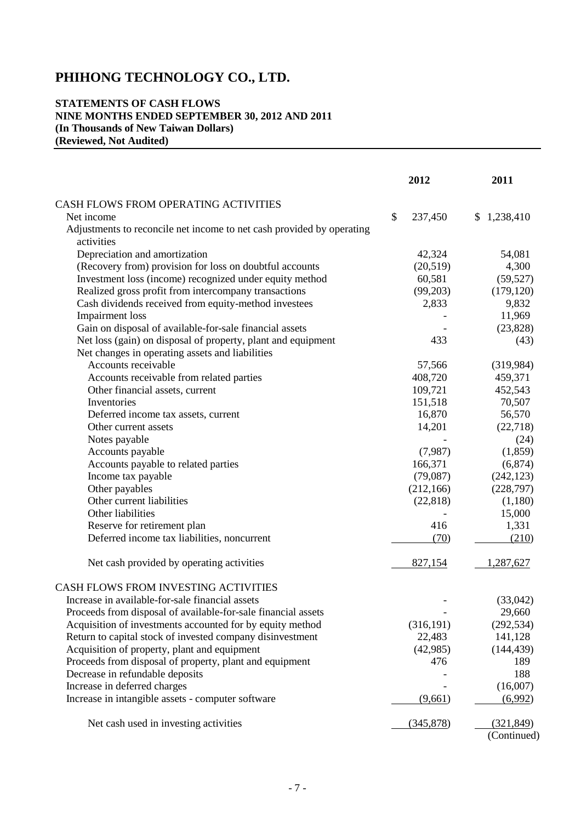## **STATEMENTS OF CASH FLOWS NINE MONTHS ENDED SEPTEMBER 30, 2012 AND 2011 (In Thousands of New Taiwan Dollars) (Reviewed, Not Audited)**

|                                                                                     |               | 2012       | 2011        |  |
|-------------------------------------------------------------------------------------|---------------|------------|-------------|--|
|                                                                                     |               |            |             |  |
| CASH FLOWS FROM OPERATING ACTIVITIES<br>Net income                                  | $\mathcal{S}$ |            |             |  |
|                                                                                     |               | 237,450    | \$1,238,410 |  |
| Adjustments to reconcile net income to net cash provided by operating<br>activities |               |            |             |  |
| Depreciation and amortization                                                       |               | 42,324     | 54,081      |  |
| (Recovery from) provision for loss on doubtful accounts                             |               | (20,519)   | 4,300       |  |
| Investment loss (income) recognized under equity method                             |               | 60,581     | (59, 527)   |  |
| Realized gross profit from intercompany transactions                                |               | (99,203)   | (179, 120)  |  |
| Cash dividends received from equity-method investees                                |               | 2,833      | 9,832       |  |
| <b>Impairment</b> loss                                                              |               |            | 11,969      |  |
| Gain on disposal of available-for-sale financial assets                             |               |            | (23, 828)   |  |
| Net loss (gain) on disposal of property, plant and equipment                        |               | 433        | (43)        |  |
| Net changes in operating assets and liabilities                                     |               |            |             |  |
| Accounts receivable                                                                 |               | 57,566     | (319,984)   |  |
| Accounts receivable from related parties                                            |               | 408,720    | 459,371     |  |
| Other financial assets, current                                                     |               | 109,721    | 452,543     |  |
| Inventories                                                                         |               | 151,518    | 70,507      |  |
| Deferred income tax assets, current                                                 |               | 16,870     | 56,570      |  |
| Other current assets                                                                |               | 14,201     | (22,718)    |  |
| Notes payable                                                                       |               |            | (24)        |  |
| Accounts payable                                                                    |               | (7,987)    | (1,859)     |  |
| Accounts payable to related parties                                                 |               | 166,371    | (6,874)     |  |
| Income tax payable                                                                  |               | (79,087)   | (242, 123)  |  |
| Other payables                                                                      |               | (212, 166) | (228,797)   |  |
| Other current liabilities                                                           |               | (22, 818)  | (1,180)     |  |
| Other liabilities                                                                   |               |            | 15,000      |  |
| Reserve for retirement plan                                                         |               | 416        | 1,331       |  |
| Deferred income tax liabilities, noncurrent                                         |               | (70)       | (210)       |  |
| Net cash provided by operating activities                                           |               | 827,154    | 1,287,627   |  |
|                                                                                     |               |            |             |  |
| CASH FLOWS FROM INVESTING ACTIVITIES                                                |               |            |             |  |
| Increase in available-for-sale financial assets                                     |               |            | (33,042)    |  |
| Proceeds from disposal of available-for-sale financial assets                       |               |            | 29,660      |  |
| Acquisition of investments accounted for by equity method                           |               | (316, 191) | (292, 534)  |  |
| Return to capital stock of invested company disinvestment                           |               | 22,483     | 141,128     |  |
| Acquisition of property, plant and equipment                                        |               | (42,985)   | (144, 439)  |  |
| Proceeds from disposal of property, plant and equipment                             |               | 476        | 189         |  |
| Decrease in refundable deposits                                                     |               |            | 188         |  |
| Increase in deferred charges                                                        |               |            | (16,007)    |  |
| Increase in intangible assets - computer software                                   |               | (9,661)    | (6,992)     |  |
| Net cash used in investing activities                                               |               | (345,878)  | (321, 849)  |  |
|                                                                                     |               |            | (Continued) |  |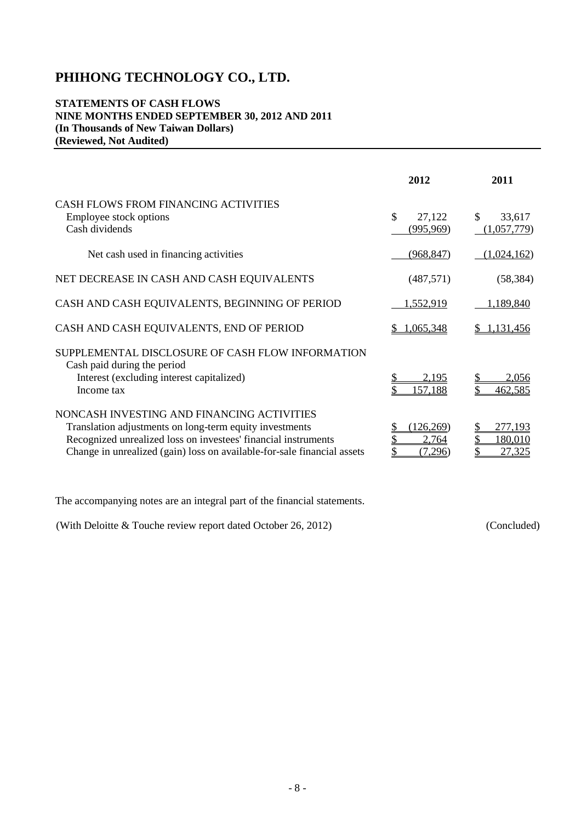## **STATEMENTS OF CASH FLOWS NINE MONTHS ENDED SEPTEMBER 30, 2012 AND 2011 (In Thousands of New Taiwan Dollars) (Reviewed, Not Audited)**

|                                                                                                                                                                                                                                                    | 2012                          | 2011                                  |
|----------------------------------------------------------------------------------------------------------------------------------------------------------------------------------------------------------------------------------------------------|-------------------------------|---------------------------------------|
| <b>CASH FLOWS FROM FINANCING ACTIVITIES</b><br>Employee stock options<br>Cash dividends                                                                                                                                                            | \$<br>27,122<br>(995, 969)    | $\mathbb{S}$<br>33,617<br>(1,057,779) |
| Net cash used in financing activities                                                                                                                                                                                                              | (968, 847)                    | (1,024,162)                           |
| NET DECREASE IN CASH AND CASH EQUIVALENTS                                                                                                                                                                                                          | (487, 571)                    | (58, 384)                             |
| CASH AND CASH EQUIVALENTS, BEGINNING OF PERIOD                                                                                                                                                                                                     | 1,552,919                     | 1,189,840                             |
| CASH AND CASH EQUIVALENTS, END OF PERIOD                                                                                                                                                                                                           | 1,065,348                     | 1,131,456                             |
| SUPPLEMENTAL DISCLOSURE OF CASH FLOW INFORMATION<br>Cash paid during the period<br>Interest (excluding interest capitalized)<br>Income tax                                                                                                         | 2.195<br>157,188              | 2,056<br>462,585                      |
| NONCASH INVESTING AND FINANCING ACTIVITIES<br>Translation adjustments on long-term equity investments<br>Recognized unrealized loss on investees' financial instruments<br>Change in unrealized (gain) loss on available-for-sale financial assets | (126,269)<br>2,764<br>(7.296) | 277.193<br><u>180,010</u><br>27.325   |

The accompanying notes are an integral part of the financial statements.

| (With Deloitte $&$ Touche review report dated October 26, 2012) | (Concluded) |
|-----------------------------------------------------------------|-------------|
|-----------------------------------------------------------------|-------------|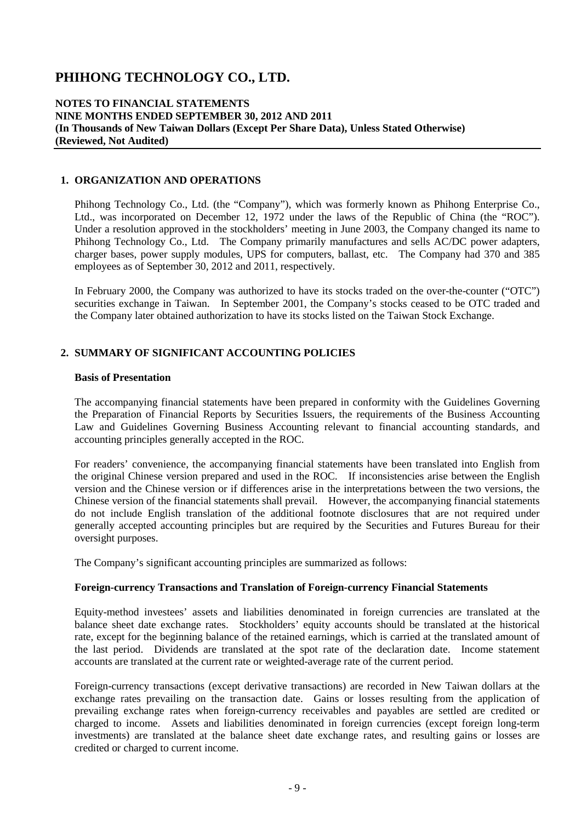## **NOTES TO FINANCIAL STATEMENTS NINE MONTHS ENDED SEPTEMBER 30, 2012 AND 2011 (In Thousands of New Taiwan Dollars (Except Per Share Data), Unless Stated Otherwise) (Reviewed, Not Audited)**

## **1. ORGANIZATION AND OPERATIONS**

Phihong Technology Co., Ltd. (the "Company"), which was formerly known as Phihong Enterprise Co., Ltd., was incorporated on December 12, 1972 under the laws of the Republic of China (the "ROC"). Under a resolution approved in the stockholders' meeting in June 2003, the Company changed its name to Phihong Technology Co., Ltd. The Company primarily manufactures and sells AC/DC power adapters, charger bases, power supply modules, UPS for computers, ballast, etc. The Company had 370 and 385 employees as of September 30, 2012 and 2011, respectively.

In February 2000, the Company was authorized to have its stocks traded on the over-the-counter ("OTC") securities exchange in Taiwan. In September 2001, the Company's stocks ceased to be OTC traded and the Company later obtained authorization to have its stocks listed on the Taiwan Stock Exchange.

## **2. SUMMARY OF SIGNIFICANT ACCOUNTING POLICIES**

#### **Basis of Presentation**

The accompanying financial statements have been prepared in conformity with the Guidelines Governing the Preparation of Financial Reports by Securities Issuers, the requirements of the Business Accounting Law and Guidelines Governing Business Accounting relevant to financial accounting standards, and accounting principles generally accepted in the ROC.

For readers' convenience, the accompanying financial statements have been translated into English from the original Chinese version prepared and used in the ROC. If inconsistencies arise between the English version and the Chinese version or if differences arise in the interpretations between the two versions, the Chinese version of the financial statements shall prevail. However, the accompanying financial statements do not include English translation of the additional footnote disclosures that are not required under generally accepted accounting principles but are required by the Securities and Futures Bureau for their oversight purposes.

The Company's significant accounting principles are summarized as follows:

## **Foreign-currency Transactions and Translation of Foreign-currency Financial Statements**

Equity-method investees' assets and liabilities denominated in foreign currencies are translated at the balance sheet date exchange rates. Stockholders' equity accounts should be translated at the historical rate, except for the beginning balance of the retained earnings, which is carried at the translated amount of the last period. Dividends are translated at the spot rate of the declaration date. Income statement accounts are translated at the current rate or weighted-average rate of the current period.

Foreign-currency transactions (except derivative transactions) are recorded in New Taiwan dollars at the exchange rates prevailing on the transaction date. Gains or losses resulting from the application of prevailing exchange rates when foreign-currency receivables and payables are settled are credited or charged to income. Assets and liabilities denominated in foreign currencies (except foreign long-term investments) are translated at the balance sheet date exchange rates, and resulting gains or losses are credited or charged to current income.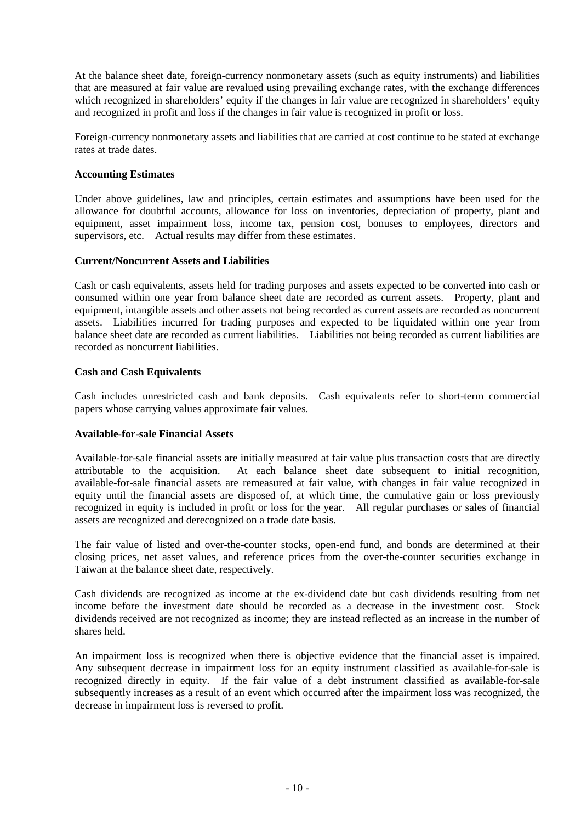At the balance sheet date, foreign-currency nonmonetary assets (such as equity instruments) and liabilities that are measured at fair value are revalued using prevailing exchange rates, with the exchange differences which recognized in shareholders' equity if the changes in fair value are recognized in shareholders' equity and recognized in profit and loss if the changes in fair value is recognized in profit or loss.

Foreign-currency nonmonetary assets and liabilities that are carried at cost continue to be stated at exchange rates at trade dates.

## **Accounting Estimates**

Under above guidelines, law and principles, certain estimates and assumptions have been used for the allowance for doubtful accounts, allowance for loss on inventories, depreciation of property, plant and equipment, asset impairment loss, income tax, pension cost, bonuses to employees, directors and supervisors, etc. Actual results may differ from these estimates.

#### **Current/Noncurrent Assets and Liabilities**

Cash or cash equivalents, assets held for trading purposes and assets expected to be converted into cash or consumed within one year from balance sheet date are recorded as current assets. Property, plant and equipment, intangible assets and other assets not being recorded as current assets are recorded as noncurrent assets. Liabilities incurred for trading purposes and expected to be liquidated within one year from balance sheet date are recorded as current liabilities. Liabilities not being recorded as current liabilities are recorded as noncurrent liabilities.

#### **Cash and Cash Equivalents**

Cash includes unrestricted cash and bank deposits. Cash equivalents refer to short-term commercial papers whose carrying values approximate fair values.

#### **Available-for-sale Financial Assets**

Available-for-sale financial assets are initially measured at fair value plus transaction costs that are directly attributable to the acquisition. At each balance sheet date subsequent to initial recognition, available-for-sale financial assets are remeasured at fair value, with changes in fair value recognized in equity until the financial assets are disposed of, at which time, the cumulative gain or loss previously recognized in equity is included in profit or loss for the year. All regular purchases or sales of financial assets are recognized and derecognized on a trade date basis.

The fair value of listed and over-the-counter stocks, open-end fund, and bonds are determined at their closing prices, net asset values, and reference prices from the over-the-counter securities exchange in Taiwan at the balance sheet date, respectively.

Cash dividends are recognized as income at the ex-dividend date but cash dividends resulting from net income before the investment date should be recorded as a decrease in the investment cost. Stock dividends received are not recognized as income; they are instead reflected as an increase in the number of shares held.

An impairment loss is recognized when there is objective evidence that the financial asset is impaired. Any subsequent decrease in impairment loss for an equity instrument classified as available-for-sale is recognized directly in equity. If the fair value of a debt instrument classified as available-for-sale subsequently increases as a result of an event which occurred after the impairment loss was recognized, the decrease in impairment loss is reversed to profit.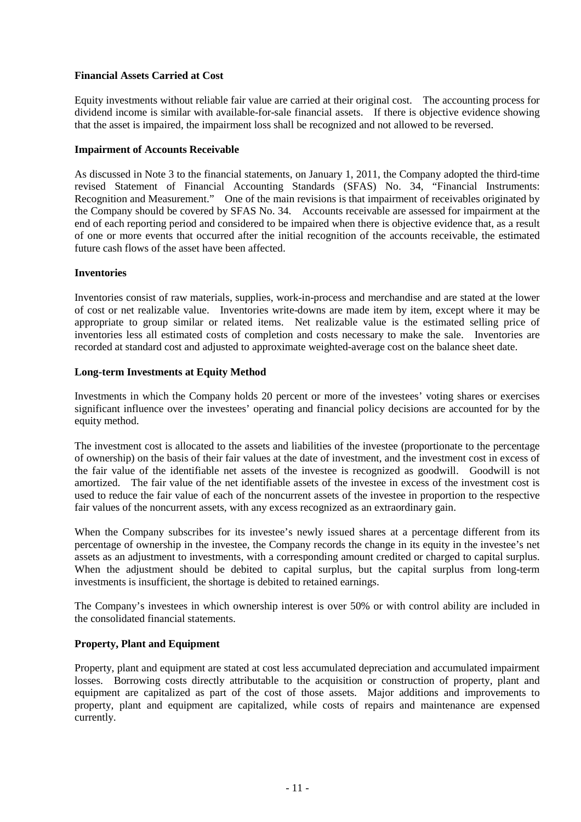## **Financial Assets Carried at Cost**

Equity investments without reliable fair value are carried at their original cost. The accounting process for dividend income is similar with available-for-sale financial assets. If there is objective evidence showing that the asset is impaired, the impairment loss shall be recognized and not allowed to be reversed.

## **Impairment of Accounts Receivable**

As discussed in Note 3 to the financial statements, on January 1, 2011, the Company adopted the third-time revised Statement of Financial Accounting Standards (SFAS) No. 34, "Financial Instruments: Recognition and Measurement." One of the main revisions is that impairment of receivables originated by the Company should be covered by SFAS No. 34. Accounts receivable are assessed for impairment at the end of each reporting period and considered to be impaired when there is objective evidence that, as a result of one or more events that occurred after the initial recognition of the accounts receivable, the estimated future cash flows of the asset have been affected.

## **Inventories**

Inventories consist of raw materials, supplies, work-in-process and merchandise and are stated at the lower of cost or net realizable value. Inventories write-downs are made item by item, except where it may be appropriate to group similar or related items. Net realizable value is the estimated selling price of inventories less all estimated costs of completion and costs necessary to make the sale. Inventories are recorded at standard cost and adjusted to approximate weighted-average cost on the balance sheet date.

## **Long-term Investments at Equity Method**

Investments in which the Company holds 20 percent or more of the investees' voting shares or exercises significant influence over the investees' operating and financial policy decisions are accounted for by the equity method.

The investment cost is allocated to the assets and liabilities of the investee (proportionate to the percentage of ownership) on the basis of their fair values at the date of investment, and the investment cost in excess of the fair value of the identifiable net assets of the investee is recognized as goodwill. Goodwill is not amortized. The fair value of the net identifiable assets of the investee in excess of the investment cost is used to reduce the fair value of each of the noncurrent assets of the investee in proportion to the respective fair values of the noncurrent assets, with any excess recognized as an extraordinary gain.

When the Company subscribes for its investee's newly issued shares at a percentage different from its percentage of ownership in the investee, the Company records the change in its equity in the investee's net assets as an adjustment to investments, with a corresponding amount credited or charged to capital surplus. When the adjustment should be debited to capital surplus, but the capital surplus from long-term investments is insufficient, the shortage is debited to retained earnings.

The Company's investees in which ownership interest is over 50% or with control ability are included in the consolidated financial statements.

## **Property, Plant and Equipment**

Property, plant and equipment are stated at cost less accumulated depreciation and accumulated impairment losses. Borrowing costs directly attributable to the acquisition or construction of property, plant and equipment are capitalized as part of the cost of those assets. Major additions and improvements to property, plant and equipment are capitalized, while costs of repairs and maintenance are expensed currently.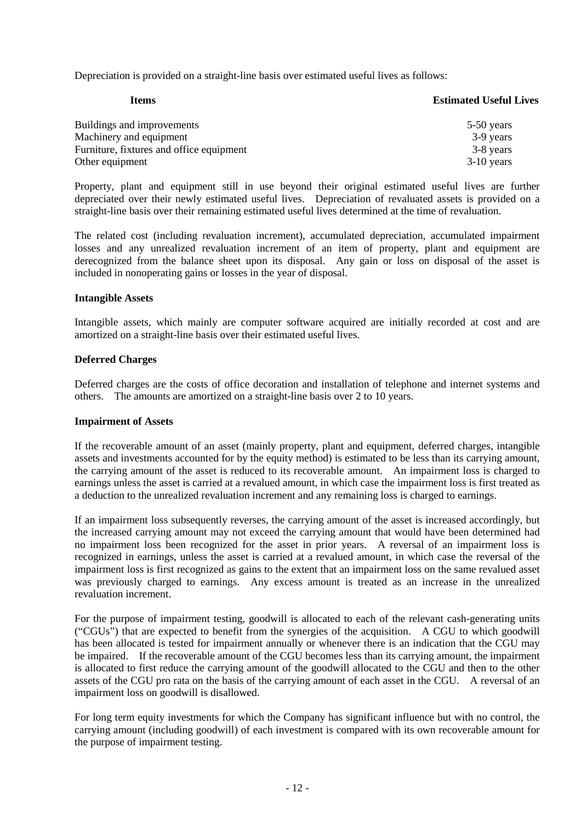Depreciation is provided on a straight-line basis over estimated useful lives as follows:

| <b>Items</b>                             | <b>Estimated Useful Lives</b> |
|------------------------------------------|-------------------------------|
| Buildings and improvements               | 5-50 years                    |
| Machinery and equipment                  | 3-9 years                     |
| Furniture, fixtures and office equipment | 3-8 years                     |
| Other equipment                          | $3-10$ years                  |

Property, plant and equipment still in use beyond their original estimated useful lives are further depreciated over their newly estimated useful lives. Depreciation of revaluated assets is provided on a straight-line basis over their remaining estimated useful lives determined at the time of revaluation.

The related cost (including revaluation increment), accumulated depreciation, accumulated impairment losses and any unrealized revaluation increment of an item of property, plant and equipment are derecognized from the balance sheet upon its disposal. Any gain or loss on disposal of the asset is included in nonoperating gains or losses in the year of disposal.

## **Intangible Assets**

Intangible assets, which mainly are computer software acquired are initially recorded at cost and are amortized on a straight-line basis over their estimated useful lives.

## **Deferred Charges**

Deferred charges are the costs of office decoration and installation of telephone and internet systems and others. The amounts are amortized on a straight-line basis over 2 to 10 years.

#### **Impairment of Assets**

If the recoverable amount of an asset (mainly property, plant and equipment, deferred charges, intangible assets and investments accounted for by the equity method) is estimated to be less than its carrying amount, the carrying amount of the asset is reduced to its recoverable amount. An impairment loss is charged to earnings unless the asset is carried at a revalued amount, in which case the impairment loss is first treated as a deduction to the unrealized revaluation increment and any remaining loss is charged to earnings.

If an impairment loss subsequently reverses, the carrying amount of the asset is increased accordingly, but the increased carrying amount may not exceed the carrying amount that would have been determined had no impairment loss been recognized for the asset in prior years. A reversal of an impairment loss is recognized in earnings, unless the asset is carried at a revalued amount, in which case the reversal of the impairment loss is first recognized as gains to the extent that an impairment loss on the same revalued asset was previously charged to earnings. Any excess amount is treated as an increase in the unrealized revaluation increment.

For the purpose of impairment testing, goodwill is allocated to each of the relevant cash-generating units ("CGUs") that are expected to benefit from the synergies of the acquisition. A CGU to which goodwill has been allocated is tested for impairment annually or whenever there is an indication that the CGU may be impaired. If the recoverable amount of the CGU becomes less than its carrying amount, the impairment is allocated to first reduce the carrying amount of the goodwill allocated to the CGU and then to the other assets of the CGU pro rata on the basis of the carrying amount of each asset in the CGU. A reversal of an impairment loss on goodwill is disallowed.

For long term equity investments for which the Company has significant influence but with no control, the carrying amount (including goodwill) of each investment is compared with its own recoverable amount for the purpose of impairment testing.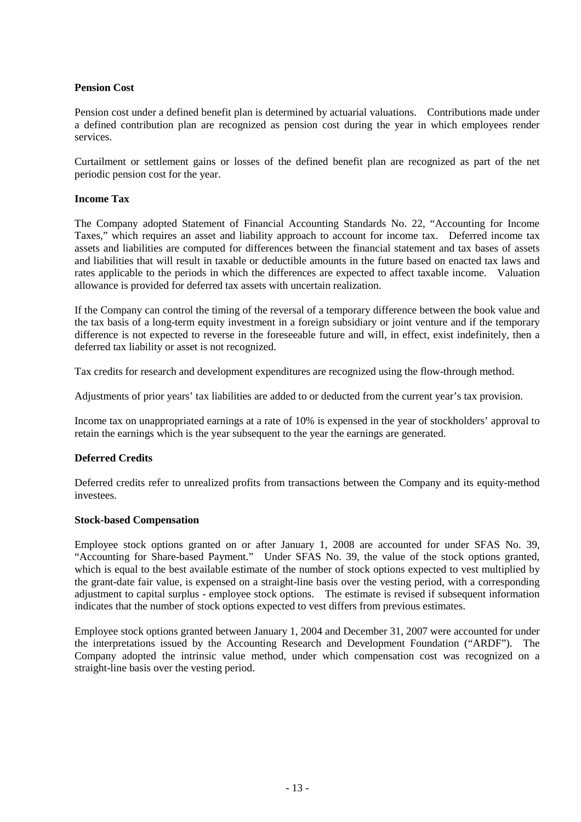## **Pension Cost**

Pension cost under a defined benefit plan is determined by actuarial valuations. Contributions made under a defined contribution plan are recognized as pension cost during the year in which employees render services.

Curtailment or settlement gains or losses of the defined benefit plan are recognized as part of the net periodic pension cost for the year.

## **Income Tax**

The Company adopted Statement of Financial Accounting Standards No. 22, "Accounting for Income Taxes," which requires an asset and liability approach to account for income tax. Deferred income tax assets and liabilities are computed for differences between the financial statement and tax bases of assets and liabilities that will result in taxable or deductible amounts in the future based on enacted tax laws and rates applicable to the periods in which the differences are expected to affect taxable income. Valuation allowance is provided for deferred tax assets with uncertain realization.

If the Company can control the timing of the reversal of a temporary difference between the book value and the tax basis of a long-term equity investment in a foreign subsidiary or joint venture and if the temporary difference is not expected to reverse in the foreseeable future and will, in effect, exist indefinitely, then a deferred tax liability or asset is not recognized.

Tax credits for research and development expenditures are recognized using the flow-through method.

Adjustments of prior years' tax liabilities are added to or deducted from the current year's tax provision.

Income tax on unappropriated earnings at a rate of 10% is expensed in the year of stockholders' approval to retain the earnings which is the year subsequent to the year the earnings are generated.

## **Deferred Credits**

Deferred credits refer to unrealized profits from transactions between the Company and its equity-method investees.

## **Stock-based Compensation**

Employee stock options granted on or after January 1, 2008 are accounted for under SFAS No. 39, "Accounting for Share-based Payment." Under SFAS No. 39, the value of the stock options granted, which is equal to the best available estimate of the number of stock options expected to vest multiplied by the grant-date fair value, is expensed on a straight-line basis over the vesting period, with a corresponding adjustment to capital surplus - employee stock options. The estimate is revised if subsequent information indicates that the number of stock options expected to vest differs from previous estimates.

Employee stock options granted between January 1, 2004 and December 31, 2007 were accounted for under the interpretations issued by the Accounting Research and Development Foundation ("ARDF"). The Company adopted the intrinsic value method, under which compensation cost was recognized on a straight-line basis over the vesting period.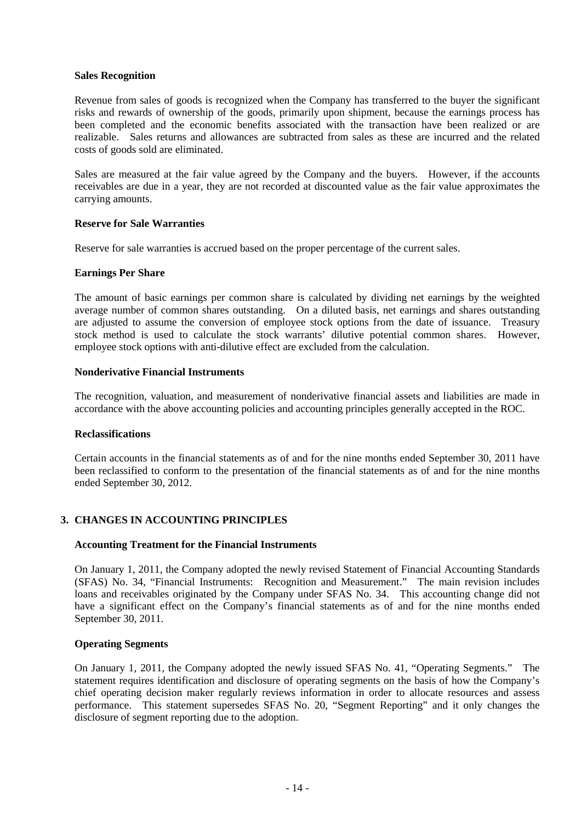### **Sales Recognition**

Revenue from sales of goods is recognized when the Company has transferred to the buyer the significant risks and rewards of ownership of the goods, primarily upon shipment, because the earnings process has been completed and the economic benefits associated with the transaction have been realized or are realizable. Sales returns and allowances are subtracted from sales as these are incurred and the related costs of goods sold are eliminated.

Sales are measured at the fair value agreed by the Company and the buyers. However, if the accounts receivables are due in a year, they are not recorded at discounted value as the fair value approximates the carrying amounts.

#### **Reserve for Sale Warranties**

Reserve for sale warranties is accrued based on the proper percentage of the current sales.

#### **Earnings Per Share**

The amount of basic earnings per common share is calculated by dividing net earnings by the weighted average number of common shares outstanding. On a diluted basis, net earnings and shares outstanding are adjusted to assume the conversion of employee stock options from the date of issuance. Treasury stock method is used to calculate the stock warrants' dilutive potential common shares. However, employee stock options with anti-dilutive effect are excluded from the calculation.

#### **Nonderivative Financial Instruments**

The recognition, valuation, and measurement of nonderivative financial assets and liabilities are made in accordance with the above accounting policies and accounting principles generally accepted in the ROC.

#### **Reclassifications**

Certain accounts in the financial statements as of and for the nine months ended September 30, 2011 have been reclassified to conform to the presentation of the financial statements as of and for the nine months ended September 30, 2012.

## **3. CHANGES IN ACCOUNTING PRINCIPLES**

## **Accounting Treatment for the Financial Instruments**

On January 1, 2011, the Company adopted the newly revised Statement of Financial Accounting Standards (SFAS) No. 34, "Financial Instruments: Recognition and Measurement." The main revision includes loans and receivables originated by the Company under SFAS No. 34. This accounting change did not have a significant effect on the Company's financial statements as of and for the nine months ended September 30, 2011.

#### **Operating Segments**

On January 1, 2011, the Company adopted the newly issued SFAS No. 41, "Operating Segments." The statement requires identification and disclosure of operating segments on the basis of how the Company's chief operating decision maker regularly reviews information in order to allocate resources and assess performance. This statement supersedes SFAS No. 20, "Segment Reporting" and it only changes the disclosure of segment reporting due to the adoption.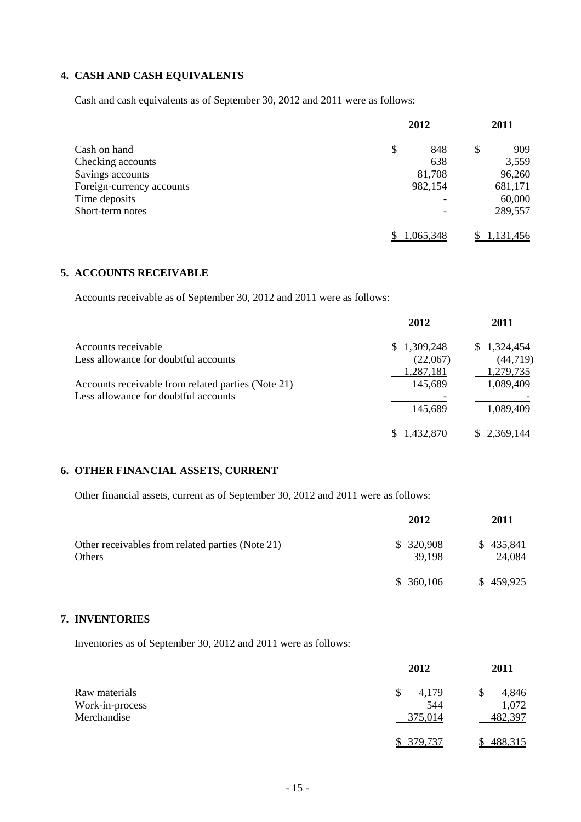## **4. CASH AND CASH EQUIVALENTS**

Cash and cash equivalents as of September 30, 2012 and 2011 were as follows:

|                           | 2012      | 2011      |
|---------------------------|-----------|-----------|
| Cash on hand              | \$<br>848 | \$<br>909 |
| Checking accounts         | 638       | 3,559     |
| Savings accounts          | 81,708    | 96,260    |
| Foreign-currency accounts | 982,154   | 681,171   |
| Time deposits             |           | 60,000    |
| Short-term notes          |           | 289,557   |
|                           | ,065,348  | 1,131,456 |

## **5. ACCOUNTS RECEIVABLE**

Accounts receivable as of September 30, 2012 and 2011 were as follows:

| 2012        | 2011                             |
|-------------|----------------------------------|
| \$1,309,248 | \$1,324,454                      |
| (22,067)    | (44, 719)                        |
|             | <u>1,279,735</u><br>1,089,409    |
|             |                                  |
| 145,689     | 1,089,409                        |
|             | 2,369,144                        |
|             | 1,287,181<br>145,689<br>,432,870 |

## **6. OTHER FINANCIAL ASSETS, CURRENT**

Other financial assets, current as of September 30, 2012 and 2011 were as follows:

|                                                                   | 2012                | 2011                |
|-------------------------------------------------------------------|---------------------|---------------------|
| Other receivables from related parties (Note 21)<br><b>Others</b> | \$320,908<br>39,198 | \$435,841<br>24,084 |
|                                                                   | 360,106             | 459,925             |

## **7. INVENTORIES**

Inventories as of September 30, 2012 and 2011 were as follows:

|                 | 2012       | 2011    |
|-----------------|------------|---------|
| Raw materials   | 4,179<br>S | 4,846   |
| Work-in-process | 544        | 1,072   |
| Merchandise     | 375,014    | 482,397 |
|                 | 379.737    | 488,315 |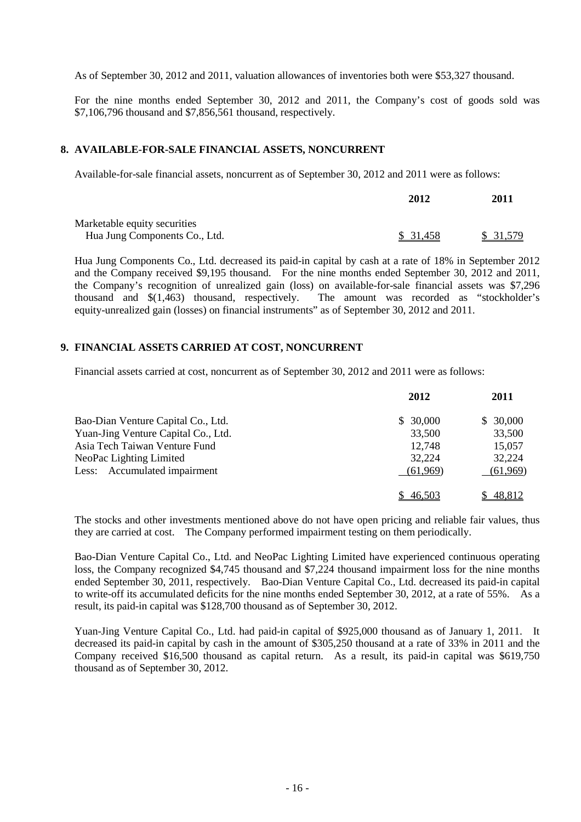As of September 30, 2012 and 2011, valuation allowances of inventories both were \$53,327 thousand.

For the nine months ended September 30, 2012 and 2011, the Company's cost of goods sold was \$7,106,796 thousand and \$7,856,561 thousand, respectively.

### **8. AVAILABLE-FOR-SALE FINANCIAL ASSETS, NONCURRENT**

Available-for-sale financial assets, noncurrent as of September 30, 2012 and 2011 were as follows:

|                               | 2012     | 2011     |
|-------------------------------|----------|----------|
| Marketable equity securities  |          |          |
| Hua Jung Components Co., Ltd. | \$31,458 | \$31,579 |

Hua Jung Components Co., Ltd. decreased its paid-in capital by cash at a rate of 18% in September 2012 and the Company received \$9,195 thousand. For the nine months ended September 30, 2012 and 2011, the Company's recognition of unrealized gain (loss) on available-for-sale financial assets was \$7,296 thousand and \$(1,463) thousand, respectively. The amount was recorded as "stockholder's equity-unrealized gain (losses) on financial instruments" as of September 30, 2012 and 2011.

## **9. FINANCIAL ASSETS CARRIED AT COST, NONCURRENT**

Financial assets carried at cost, noncurrent as of September 30, 2012 and 2011 were as follows:

|                                     | 2012     | 2011     |
|-------------------------------------|----------|----------|
| Bao-Dian Venture Capital Co., Ltd.  | \$30,000 | \$30,000 |
| Yuan-Jing Venture Capital Co., Ltd. | 33,500   | 33,500   |
| Asia Tech Taiwan Venture Fund       | 12,748   | 15,057   |
| NeoPac Lighting Limited             | 32,224   | 32,224   |
| Less: Accumulated impairment        | (61,969) | (61,969) |
|                                     | 46,503   | 48,812   |

The stocks and other investments mentioned above do not have open pricing and reliable fair values, thus they are carried at cost. The Company performed impairment testing on them periodically.

Bao-Dian Venture Capital Co., Ltd. and NeoPac Lighting Limited have experienced continuous operating loss, the Company recognized \$4,745 thousand and \$7,224 thousand impairment loss for the nine months ended September 30, 2011, respectively. Bao-Dian Venture Capital Co., Ltd. decreased its paid-in capital to write-off its accumulated deficits for the nine months ended September 30, 2012, at a rate of 55%. As a result, its paid-in capital was \$128,700 thousand as of September 30, 2012.

Yuan-Jing Venture Capital Co., Ltd. had paid-in capital of \$925,000 thousand as of January 1, 2011. It decreased its paid-in capital by cash in the amount of \$305,250 thousand at a rate of 33% in 2011 and the Company received \$16,500 thousand as capital return. As a result, its paid-in capital was \$619,750 thousand as of September 30, 2012.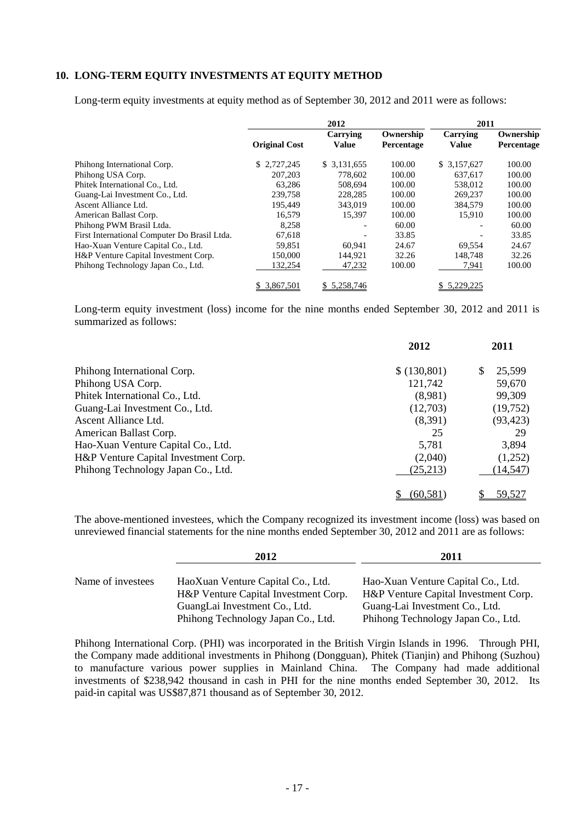## **10. LONG-TERM EQUITY INVESTMENTS AT EQUITY METHOD**

Long-term equity investments at equity method as of September 30, 2012 and 2011 were as follows:

|                                              | 2012                 |                          |                         | 2011                     |                         |
|----------------------------------------------|----------------------|--------------------------|-------------------------|--------------------------|-------------------------|
|                                              | <b>Original Cost</b> | Carrying<br><b>Value</b> | Ownership<br>Percentage | Carrying<br><b>Value</b> | Ownership<br>Percentage |
| Phihong International Corp.                  | \$2,727,245          | \$ 3.131,655             | 100.00                  | \$ 3.157,627             | 100.00                  |
| Phihong USA Corp.                            | 207,203              | 778.602                  | 100.00                  | 637,617                  | 100.00                  |
| Phitek International Co., Ltd.               | 63.286               | 508.694                  | 100.00                  | 538,012                  | 100.00                  |
| Guang-Lai Investment Co., Ltd.               | 239,758              | 228,285                  | 100.00                  | 269,237                  | 100.00                  |
| Ascent Alliance Ltd.                         | 195,449              | 343,019                  | 100.00                  | 384,579                  | 100.00                  |
| American Ballast Corp.                       | 16,579               | 15,397                   | 100.00                  | 15.910                   | 100.00                  |
| Phihong PWM Brasil Ltda.                     | 8.258                | $\overline{\phantom{a}}$ | 60.00                   | $\overline{\phantom{0}}$ | 60.00                   |
| First International Computer Do Brasil Ltda. | 67,618               | $\overline{\phantom{a}}$ | 33.85                   |                          | 33.85                   |
| Hao-Xuan Venture Capital Co., Ltd.           | 59,851               | 60.941                   | 24.67                   | 69,554                   | 24.67                   |
| H&P Venture Capital Investment Corp.         | 150,000              | 144,921                  | 32.26                   | 148,748                  | 32.26                   |
| Phihong Technology Japan Co., Ltd.           | 132,254              | 47,232                   | 100.00                  | 7,941                    | 100.00                  |
|                                              | \$ 3,867,501         | \$5.258.746              |                         | \$ 5.229.225             |                         |

Long-term equity investment (loss) income for the nine months ended September 30, 2012 and 2011 is summarized as follows:

|                                      | 2012        | 2011        |
|--------------------------------------|-------------|-------------|
| Phihong International Corp.          | \$(130,801) | 25,599<br>S |
| Phihong USA Corp.                    | 121,742     | 59,670      |
| Phitek International Co., Ltd.       | (8,981)     | 99,309      |
| Guang-Lai Investment Co., Ltd.       | (12,703)    | (19,752)    |
| Ascent Alliance Ltd.                 | (8,391)     | (93, 423)   |
| American Ballast Corp.               | 25          | 29          |
| Hao-Xuan Venture Capital Co., Ltd.   | 5,781       | 3,894       |
| H&P Venture Capital Investment Corp. | (2,040)     | (1,252)     |
| Phihong Technology Japan Co., Ltd.   | (25,213)    | (14, 547)   |
|                                      | (60.581     | 59,527      |

The above-mentioned investees, which the Company recognized its investment income (loss) was based on unreviewed financial statements for the nine months ended September 30, 2012 and 2011 are as follows:

|                   | 2012                                 | 2011                                 |
|-------------------|--------------------------------------|--------------------------------------|
|                   |                                      |                                      |
| Name of investees | HaoXuan Venture Capital Co., Ltd.    | Hao-Xuan Venture Capital Co., Ltd.   |
|                   | H&P Venture Capital Investment Corp. | H&P Venture Capital Investment Corp. |
|                   | GuangLai Investment Co., Ltd.        | Guang-Lai Investment Co., Ltd.       |
|                   | Phihong Technology Japan Co., Ltd.   | Phihong Technology Japan Co., Ltd.   |

Phihong International Corp. (PHI) was incorporated in the British Virgin Islands in 1996. Through PHI, the Company made additional investments in Phihong (Dongguan), Phitek (Tianjin) and Phihong (Suzhou) to manufacture various power supplies in Mainland China. The Company had made additional investments of \$238,942 thousand in cash in PHI for the nine months ended September 30, 2012. Its paid-in capital was US\$87,871 thousand as of September 30, 2012.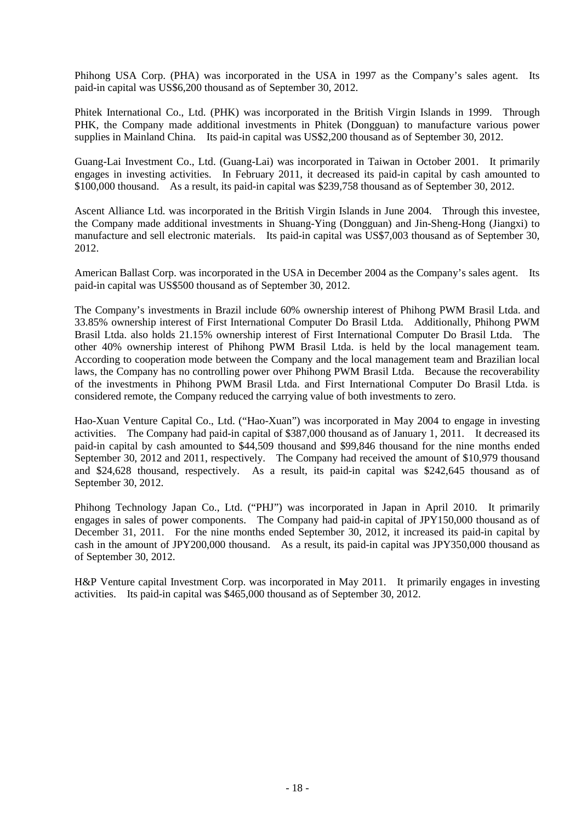Phihong USA Corp. (PHA) was incorporated in the USA in 1997 as the Company's sales agent. Its paid-in capital was US\$6,200 thousand as of September 30, 2012.

Phitek International Co., Ltd. (PHK) was incorporated in the British Virgin Islands in 1999. Through PHK, the Company made additional investments in Phitek (Dongguan) to manufacture various power supplies in Mainland China. Its paid-in capital was US\$2,200 thousand as of September 30, 2012.

Guang-Lai Investment Co., Ltd. (Guang-Lai) was incorporated in Taiwan in October 2001. It primarily engages in investing activities. In February 2011, it decreased its paid-in capital by cash amounted to \$100,000 thousand. As a result, its paid-in capital was \$239,758 thousand as of September 30, 2012.

Ascent Alliance Ltd. was incorporated in the British Virgin Islands in June 2004. Through this investee, the Company made additional investments in Shuang-Ying (Dongguan) and Jin-Sheng-Hong (Jiangxi) to manufacture and sell electronic materials. Its paid-in capital was US\$7,003 thousand as of September 30, 2012.

American Ballast Corp. was incorporated in the USA in December 2004 as the Company's sales agent. Its paid-in capital was US\$500 thousand as of September 30, 2012.

The Company's investments in Brazil include 60% ownership interest of Phihong PWM Brasil Ltda. and 33.85% ownership interest of First International Computer Do Brasil Ltda. Additionally, Phihong PWM Brasil Ltda. also holds 21.15% ownership interest of First International Computer Do Brasil Ltda. The other 40% ownership interest of Phihong PWM Brasil Ltda. is held by the local management team. According to cooperation mode between the Company and the local management team and Brazilian local laws, the Company has no controlling power over Phihong PWM Brasil Ltda. Because the recoverability of the investments in Phihong PWM Brasil Ltda. and First International Computer Do Brasil Ltda. is considered remote, the Company reduced the carrying value of both investments to zero.

Hao-Xuan Venture Capital Co., Ltd. ("Hao-Xuan") was incorporated in May 2004 to engage in investing activities. The Company had paid-in capital of \$387,000 thousand as of January 1, 2011. It decreased its paid-in capital by cash amounted to \$44,509 thousand and \$99,846 thousand for the nine months ended September 30, 2012 and 2011, respectively. The Company had received the amount of \$10,979 thousand and \$24,628 thousand, respectively. As a result, its paid-in capital was \$242,645 thousand as of September 30, 2012.

Phihong Technology Japan Co., Ltd. ("PHJ") was incorporated in Japan in April 2010. It primarily engages in sales of power components. The Company had paid-in capital of JPY150,000 thousand as of December 31, 2011. For the nine months ended September 30, 2012, it increased its paid-in capital by cash in the amount of JPY200,000 thousand. As a result, its paid-in capital was JPY350,000 thousand as of September 30, 2012.

H&P Venture capital Investment Corp. was incorporated in May 2011. It primarily engages in investing activities. Its paid-in capital was \$465,000 thousand as of September 30, 2012.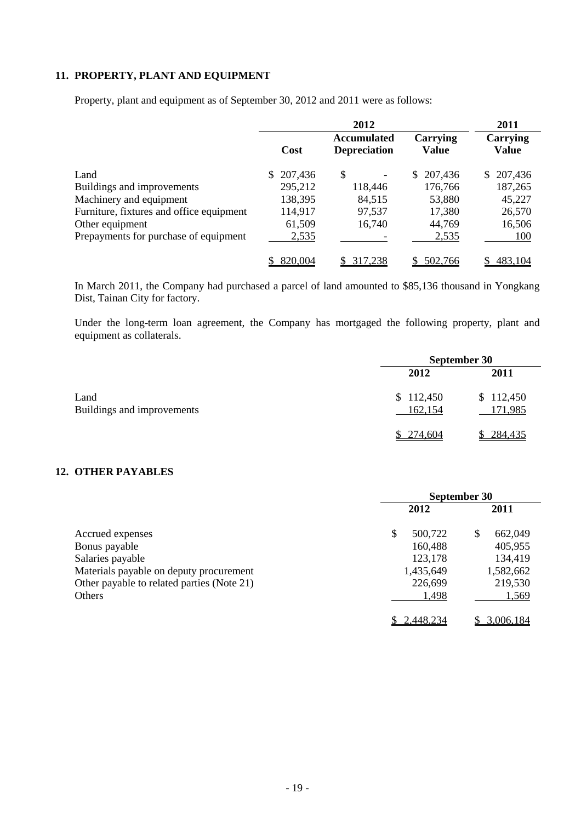## **11. PROPERTY, PLANT AND EQUIPMENT**

|                                          | 2012      |                                           |                          | 2011              |
|------------------------------------------|-----------|-------------------------------------------|--------------------------|-------------------|
|                                          | Cost      | <b>Accumulated</b><br><b>Depreciation</b> | Carrying<br><b>Value</b> | Carrying<br>Value |
| Land                                     | \$207,436 | \$                                        | 207,436<br>S.            | \$207,436         |
| Buildings and improvements               | 295,212   | 118,446                                   | 176,766                  | 187,265           |
| Machinery and equipment                  | 138,395   | 84,515                                    | 53,880                   | 45,227            |
| Furniture, fixtures and office equipment | 114,917   | 97,537                                    | 17,380                   | 26,570            |
| Other equipment                          | 61,509    | 16,740                                    | 44,769                   | 16,506            |
| Prepayments for purchase of equipment    | 2,535     |                                           | 2,535                    | 100               |
|                                          | 820,004   | 317,238                                   | 502,766                  | 483,104           |

Property, plant and equipment as of September 30, 2012 and 2011 were as follows:

In March 2011, the Company had purchased a parcel of land amounted to \$85,136 thousand in Yongkang Dist, Tainan City for factory.

Under the long-term loan agreement, the Company has mortgaged the following property, plant and equipment as collaterals.

|                                    | September 30         |                      |  |
|------------------------------------|----------------------|----------------------|--|
|                                    | 2012                 | 2011                 |  |
| Land<br>Buildings and improvements | \$112,450<br>162,154 | \$112,450<br>171,985 |  |
|                                    | \$274,604            | 284,435              |  |

## **12. OTHER PAYABLES**

|                                            | September 30  |              |  |
|--------------------------------------------|---------------|--------------|--|
|                                            | 2012          | 2011         |  |
| Accrued expenses                           | \$<br>500,722 | S<br>662,049 |  |
| Bonus payable                              | 160,488       | 405,955      |  |
| Salaries payable                           | 123,178       | 134,419      |  |
| Materials payable on deputy procurement    | 1,435,649     | 1,582,662    |  |
| Other payable to related parties (Note 21) | 226,699       | 219,530      |  |
| Others                                     | 1,498         | 1,569        |  |
|                                            | 2,448,234     | 3.006.184    |  |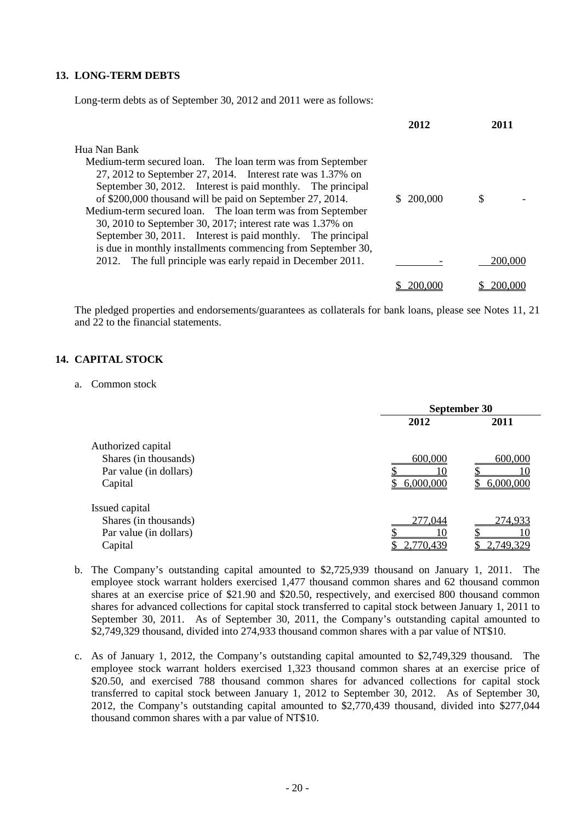## **13. LONG-TERM DEBTS**

Long-term debts as of September 30, 2012 and 2011 were as follows:

|                                                              | 2012      | 2011    |
|--------------------------------------------------------------|-----------|---------|
| Hua Nan Bank                                                 |           |         |
| Medium-term secured loan. The loan term was from September   |           |         |
| 27, 2012 to September 27, 2014. Interest rate was 1.37% on   |           |         |
| September 30, 2012. Interest is paid monthly. The principal  |           |         |
| of \$200,000 thousand will be paid on September 27, 2014.    | \$200,000 | S       |
| Medium-term secured loan. The loan term was from September   |           |         |
| 30, 2010 to September 30, 2017; interest rate was 1.37% on   |           |         |
| September 30, 2011. Interest is paid monthly. The principal  |           |         |
| is due in monthly installments commencing from September 30, |           |         |
| 2012. The full principle was early repaid in December 2011.  |           | 200,000 |
|                                                              |           |         |
|                                                              | 200,000   | 200,000 |

The pledged properties and endorsements/guarantees as collaterals for bank loans, please see Notes 11, 21 and 22 to the financial statements.

## **14. CAPITAL STOCK**

#### a. Common stock

|                        | September 30 |           |  |
|------------------------|--------------|-----------|--|
|                        | 2012         | 2011      |  |
| Authorized capital     |              |           |  |
| Shares (in thousands)  | 600,000      | 600,000   |  |
| Par value (in dollars) |              |           |  |
| Capital                | 6,000,000    | 6,000,000 |  |
| Issued capital         |              |           |  |
| Shares (in thousands)  | 277,044      | 274,933   |  |
| Par value (in dollars) |              |           |  |
| Capital                | 2,770,439    | 2.749.329 |  |

- b. The Company's outstanding capital amounted to \$2,725,939 thousand on January 1, 2011. The employee stock warrant holders exercised 1,477 thousand common shares and 62 thousand common shares at an exercise price of \$21.90 and \$20.50, respectively, and exercised 800 thousand common shares for advanced collections for capital stock transferred to capital stock between January 1, 2011 to September 30, 2011. As of September 30, 2011, the Company's outstanding capital amounted to \$2,749,329 thousand, divided into 274,933 thousand common shares with a par value of NT\$10.
- c. As of January 1, 2012, the Company's outstanding capital amounted to \$2,749,329 thousand. The employee stock warrant holders exercised 1,323 thousand common shares at an exercise price of \$20.50, and exercised 788 thousand common shares for advanced collections for capital stock transferred to capital stock between January 1, 2012 to September 30, 2012. As of September 30, 2012, the Company's outstanding capital amounted to \$2,770,439 thousand, divided into \$277,044 thousand common shares with a par value of NT\$10.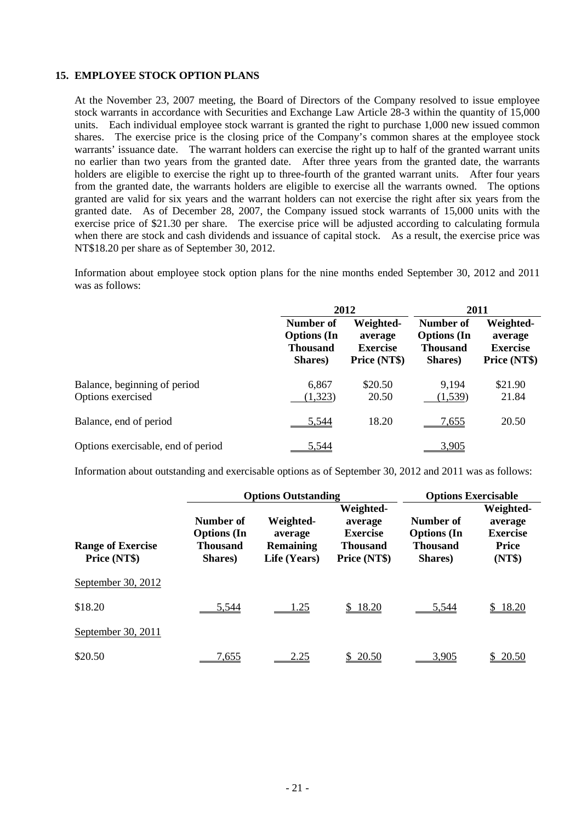### **15. EMPLOYEE STOCK OPTION PLANS**

At the November 23, 2007 meeting, the Board of Directors of the Company resolved to issue employee stock warrants in accordance with Securities and Exchange Law Article 28-3 within the quantity of 15,000 units. Each individual employee stock warrant is granted the right to purchase 1,000 new issued common shares. The exercise price is the closing price of the Company's common shares at the employee stock warrants' issuance date. The warrant holders can exercise the right up to half of the granted warrant units no earlier than two years from the granted date. After three years from the granted date, the warrants holders are eligible to exercise the right up to three-fourth of the granted warrant units. After four years from the granted date, the warrants holders are eligible to exercise all the warrants owned. The options granted are valid for six years and the warrant holders can not exercise the right after six years from the granted date. As of December 28, 2007, the Company issued stock warrants of 15,000 units with the exercise price of \$21.30 per share. The exercise price will be adjusted according to calculating formula when there are stock and cash dividends and issuance of capital stock. As a result, the exercise price was NT\$18.20 per share as of September 30, 2012.

Information about employee stock option plans for the nine months ended September 30, 2012 and 2011 was as follows:

|                                                   | 2012                                                          |                                                         | 2011                                                          |                                                         |
|---------------------------------------------------|---------------------------------------------------------------|---------------------------------------------------------|---------------------------------------------------------------|---------------------------------------------------------|
|                                                   | Number of<br><b>Options</b> (In<br><b>Thousand</b><br>Shares) | Weighted-<br>average<br><b>Exercise</b><br>Price (NT\$) | Number of<br><b>Options</b> (In<br><b>Thousand</b><br>Shares) | Weighted-<br>average<br><b>Exercise</b><br>Price (NT\$) |
| Balance, beginning of period<br>Options exercised | 6,867<br>(1,323)                                              | \$20.50<br>20.50                                        | 9,194<br>(1, 539)                                             | \$21.90<br>21.84                                        |
| Balance, end of period                            | 5.544                                                         | 18.20                                                   | <u>7,655</u>                                                  | 20.50                                                   |
| Options exercisable, end of period                | 5.544                                                         |                                                         | 3,905                                                         |                                                         |

Information about outstanding and exercisable options as of September 30, 2012 and 2011 was as follows:

|                                          |                                                        | <b>Options Outstanding</b>                               | <b>Options Exercisable</b>                                                 |                                                               |                                                                   |
|------------------------------------------|--------------------------------------------------------|----------------------------------------------------------|----------------------------------------------------------------------------|---------------------------------------------------------------|-------------------------------------------------------------------|
| <b>Range of Exercise</b><br>Price (NT\$) | Number of<br><b>Options</b> (In<br>Thousand<br>Shares) | Weighted-<br>average<br><b>Remaining</b><br>Life (Years) | Weighted-<br>average<br><b>Exercise</b><br><b>Thousand</b><br>Price (NT\$) | Number of<br><b>Options</b> (In<br><b>Thousand</b><br>Shares) | Weighted-<br>average<br><b>Exercise</b><br><b>Price</b><br>(NT\$) |
| September 30, 2012                       |                                                        |                                                          |                                                                            |                                                               |                                                                   |
| \$18.20                                  | 5,544                                                  | 1.25                                                     | \$18.20                                                                    | 5,544                                                         | \$18.20                                                           |
| September 30, 2011                       |                                                        |                                                          |                                                                            |                                                               |                                                                   |
| \$20.50                                  | 7,655                                                  | <u>2.25</u>                                              | \$20.50                                                                    | 3.905                                                         | 20.50                                                             |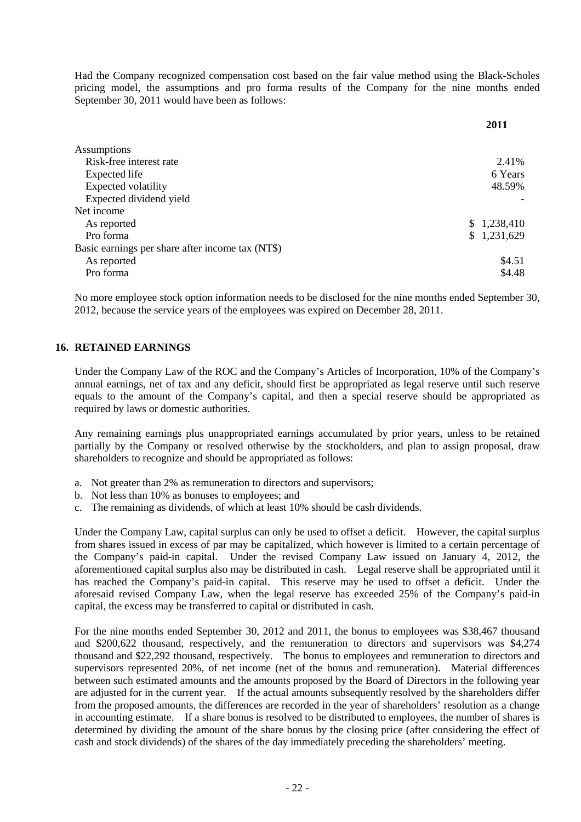Had the Company recognized compensation cost based on the fair value method using the Black-Scholes pricing model, the assumptions and pro forma results of the Company for the nine months ended September 30, 2011 would have been as follows:

**2011** 

| 2.41%       |
|-------------|
| 6 Years     |
| 48.59%      |
|             |
|             |
| \$1,238,410 |
| \$1,231,629 |
|             |
| \$4.51      |
| \$4.48      |
|             |

No more employee stock option information needs to be disclosed for the nine months ended September 30, 2012, because the service years of the employees was expired on December 28, 2011.

## **16. RETAINED EARNINGS**

Under the Company Law of the ROC and the Company's Articles of Incorporation, 10% of the Company's annual earnings, net of tax and any deficit, should first be appropriated as legal reserve until such reserve equals to the amount of the Company's capital, and then a special reserve should be appropriated as required by laws or domestic authorities.

Any remaining earnings plus unappropriated earnings accumulated by prior years, unless to be retained partially by the Company or resolved otherwise by the stockholders, and plan to assign proposal, draw shareholders to recognize and should be appropriated as follows:

- a. Not greater than 2% as remuneration to directors and supervisors;
- b. Not less than 10% as bonuses to employees; and
- c. The remaining as dividends, of which at least 10% should be cash dividends.

Under the Company Law, capital surplus can only be used to offset a deficit. However, the capital surplus from shares issued in excess of par may be capitalized, which however is limited to a certain percentage of the Company's paid-in capital. Under the revised Company Law issued on January 4, 2012, the aforementioned capital surplus also may be distributed in cash. Legal reserve shall be appropriated until it has reached the Company's paid-in capital. This reserve may be used to offset a deficit. Under the aforesaid revised Company Law, when the legal reserve has exceeded 25% of the Company's paid-in capital, the excess may be transferred to capital or distributed in cash.

For the nine months ended September 30, 2012 and 2011, the bonus to employees was \$38,467 thousand and \$200,622 thousand, respectively, and the remuneration to directors and supervisors was \$4,274 thousand and \$22,292 thousand, respectively. The bonus to employees and remuneration to directors and supervisors represented 20%, of net income (net of the bonus and remuneration). Material differences between such estimated amounts and the amounts proposed by the Board of Directors in the following year are adjusted for in the current year. If the actual amounts subsequently resolved by the shareholders differ from the proposed amounts, the differences are recorded in the year of shareholders' resolution as a change in accounting estimate. If a share bonus is resolved to be distributed to employees, the number of shares is determined by dividing the amount of the share bonus by the closing price (after considering the effect of cash and stock dividends) of the shares of the day immediately preceding the shareholders' meeting.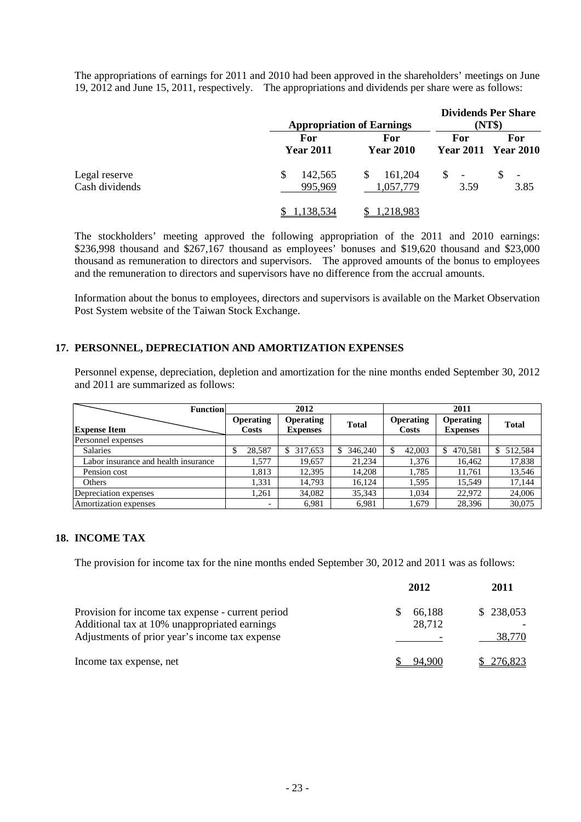The appropriations of earnings for 2011 and 2010 had been approved in the shareholders' meetings on June 19, 2012 and June 15, 2011, respectively. The appropriations and dividends per share were as follows:

|                                 |                          | <b>Appropriation of Earnings</b> |                        | <b>Dividends Per Share</b><br>(NT\$) |
|---------------------------------|--------------------------|----------------------------------|------------------------|--------------------------------------|
|                                 | For<br><b>Year 2011</b>  | For<br><b>Year 2010</b>          | For                    | For<br><b>Year 2011 Year 2010</b>    |
| Legal reserve<br>Cash dividends | 142,565<br>\$<br>995,969 | 161,204<br>S<br>1,057,779        | $\mathbb{S}$ -<br>3.59 | $\overline{\phantom{a}}$<br>3.85     |
|                                 | 1.138.534                | 218,983. ا                       |                        |                                      |

The stockholders' meeting approved the following appropriation of the 2011 and 2010 earnings: \$236,998 thousand and \$267,167 thousand as employees' bonuses and \$19,620 thousand and \$23,000 thousand as remuneration to directors and supervisors. The approved amounts of the bonus to employees and the remuneration to directors and supervisors have no difference from the accrual amounts.

Information about the bonus to employees, directors and supervisors is available on the Market Observation Post System website of the Taiwan Stock Exchange.

## **17. PERSONNEL, DEPRECIATION AND AMORTIZATION EXPENSES**

Personnel expense, depreciation, depletion and amortization for the nine months ended September 30, 2012 and 2011 are summarized as follows:

| <b>Function</b>                      | 2012                      |                                     |              | 2011                             |                                     |              |  |
|--------------------------------------|---------------------------|-------------------------------------|--------------|----------------------------------|-------------------------------------|--------------|--|
| <b>Expense Item</b>                  | <b>Operating</b><br>Costs | <b>Operating</b><br><b>Expenses</b> | <b>Total</b> | <b>Operating</b><br><b>Costs</b> | <b>Operating</b><br><b>Expenses</b> | <b>Total</b> |  |
| Personnel expenses                   |                           |                                     |              |                                  |                                     |              |  |
| <b>Salaries</b>                      | 28,587                    | 317,653<br>\$.                      | 346,240      | 42,003                           | 470,581<br>\$                       | 512,584      |  |
| Labor insurance and health insurance | 1,577                     | 19.657                              | 21.234       | 1,376                            | 16,462                              | 17,838       |  |
| Pension cost                         | 1,813                     | 12.395                              | 14.208       | 1.785                            | 11.761                              | 13,546       |  |
| <b>Others</b>                        | 1,331                     | 14.793                              | 16.124       | 1.595                            | 15.549                              | 17,144       |  |
| Depreciation expenses                | 1.261                     | 34,082                              | 35,343       | 1.034                            | 22,972                              | 24,006       |  |
| Amortization expenses                | -                         | 6.981                               | 6.981        | 1.679                            | 28.396                              | 30,075       |  |

## **18. INCOME TAX**

The provision for income tax for the nine months ended September 30, 2012 and 2011 was as follows:

|                                                                                                                                                      | 2012             | 2011                |
|------------------------------------------------------------------------------------------------------------------------------------------------------|------------------|---------------------|
| Provision for income tax expense - current period<br>Additional tax at 10% unappropriated earnings<br>Adjustments of prior year's income tax expense | 66,188<br>28,712 | \$238,053<br>38,770 |
| Income tax expense, net                                                                                                                              | 94.900           | \$276,823           |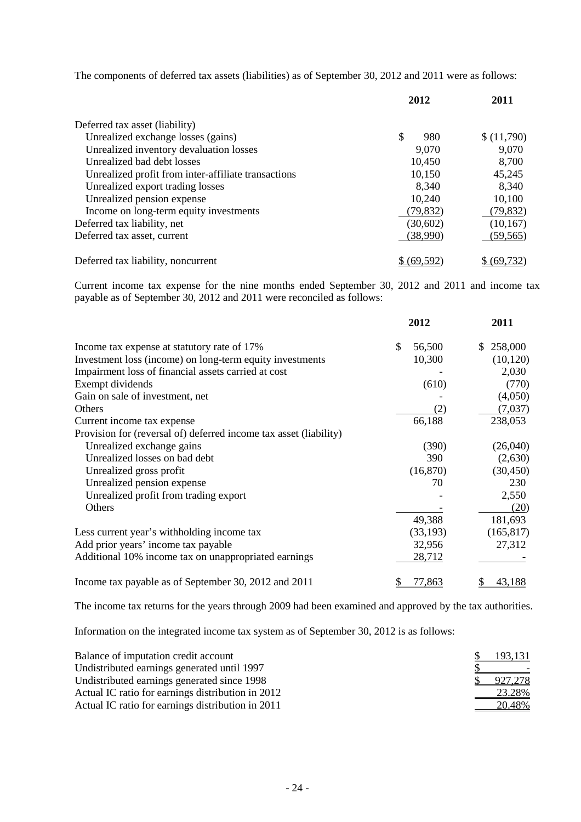The components of deferred tax assets (liabilities) as of September 30, 2012 and 2011 were as follows:

|                                                     | 2012              | 2011         |
|-----------------------------------------------------|-------------------|--------------|
| Deferred tax asset (liability)                      |                   |              |
| Unrealized exchange losses (gains)                  | \$<br>980         | \$(11,790)   |
| Unrealized inventory devaluation losses             | 9,070             | 9,070        |
| Unrealized bad debt losses                          | 10,450            | 8,700        |
| Unrealized profit from inter-affiliate transactions | 10,150            | 45,245       |
| Unrealized export trading losses                    | 8,340             | 8,340        |
| Unrealized pension expense                          | 10,240            | 10,100       |
| Income on long-term equity investments              | (79, 832)         | (79, 832)    |
| Deferred tax liability, net                         | (30,602)          | (10, 167)    |
| Deferred tax asset, current                         | (38,990)          | (59, 565)    |
| Deferred tax liability, noncurrent                  | <u>\$(69,592)</u> | \$ (69, 732) |

Current income tax expense for the nine months ended September 30, 2012 and 2011 and income tax payable as of September 30, 2012 and 2011 were reconciled as follows:

|                                                                   | 2012         | 2011          |
|-------------------------------------------------------------------|--------------|---------------|
| Income tax expense at statutory rate of 17%                       | \$<br>56,500 | 258,000<br>\$ |
| Investment loss (income) on long-term equity investments          | 10,300       | (10, 120)     |
| Impairment loss of financial assets carried at cost               |              | 2,030         |
| Exempt dividends                                                  | (610)        | (770)         |
| Gain on sale of investment, net                                   |              | (4,050)       |
| Others                                                            | (2)          | (7,037)       |
| Current income tax expense                                        | 66,188       | 238,053       |
| Provision for (reversal of) deferred income tax asset (liability) |              |               |
| Unrealized exchange gains                                         | (390)        | (26,040)      |
| Unrealized losses on bad debt                                     | 390          | (2,630)       |
| Unrealized gross profit                                           | (16, 870)    | (30, 450)     |
| Unrealized pension expense                                        | 70           | 230           |
| Unrealized profit from trading export                             |              | 2,550         |
| Others                                                            |              | (20)          |
|                                                                   | 49,388       | 181,693       |
| Less current year's withholding income tax                        | (33, 193)    | (165, 817)    |
| Add prior years' income tax payable                               | 32,956       | 27,312        |
| Additional 10% income tax on unappropriated earnings              | 28,712       |               |
| Income tax payable as of September 30, 2012 and 2011              | 77,863       | 43,188        |

The income tax returns for the years through 2009 had been examined and approved by the tax authorities.

Information on the integrated income tax system as of September 30, 2012 is as follows:

| Balance of imputation credit account              | <u>193,131</u> |
|---------------------------------------------------|----------------|
| Undistributed earnings generated until 1997       |                |
| Undistributed earnings generated since 1998       | 927,278        |
| Actual IC ratio for earnings distribution in 2012 | 23.28%         |
| Actual IC ratio for earnings distribution in 2011 | 20.48%         |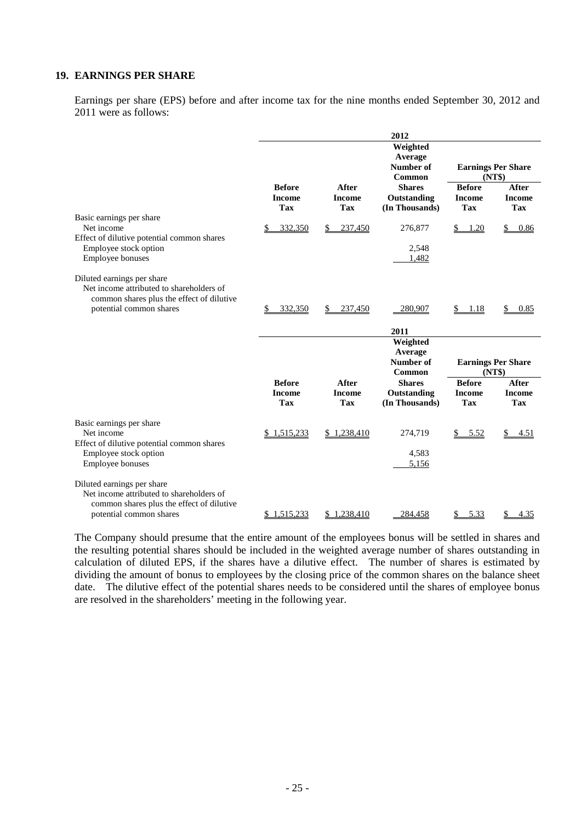## **19. EARNINGS PER SHARE**

Earnings per share (EPS) before and after income tax for the nine months ended September 30, 2012 and 2011 were as follows:

|                                                                                                                                                |                                       |                                      | 2012                                                        |                                              |                                      |
|------------------------------------------------------------------------------------------------------------------------------------------------|---------------------------------------|--------------------------------------|-------------------------------------------------------------|----------------------------------------------|--------------------------------------|
|                                                                                                                                                | <b>Before</b>                         | After                                | Weighted<br>Average<br>Number of<br>Common<br><b>Shares</b> | <b>Earnings Per Share</b><br><b>Before</b>   | (NT\$)<br>After                      |
|                                                                                                                                                | <b>Income</b><br><b>Tax</b>           | <b>Income</b><br><b>Tax</b>          | Outstanding<br>(In Thousands)                               | <b>Income</b><br><b>Tax</b>                  | <b>Income</b><br><b>Tax</b>          |
| Basic earnings per share<br>Net income<br>Effect of dilutive potential common shares                                                           | 332,350                               | 237,450<br>\$                        | 276,877                                                     | 1.20<br><u>s.</u>                            | \$<br>0.86                           |
| Employee stock option<br>Employee bonuses                                                                                                      |                                       |                                      | 2,548<br>1,482                                              |                                              |                                      |
| Diluted earnings per share<br>Net income attributed to shareholders of<br>common shares plus the effect of dilutive<br>potential common shares | 332,350                               | 237,450<br>S.                        | 280,907                                                     | \$ 1.18                                      | \$<br>0.85                           |
|                                                                                                                                                |                                       |                                      | 2011                                                        |                                              |                                      |
|                                                                                                                                                |                                       |                                      | Weighted<br>Average                                         |                                              |                                      |
|                                                                                                                                                |                                       |                                      | <b>Number of</b><br>Common                                  | <b>Earnings Per Share</b><br>(NT\$)          |                                      |
|                                                                                                                                                | <b>Before</b><br><b>Income</b><br>Tax | After<br><b>Income</b><br><b>Tax</b> | <b>Shares</b><br>Outstanding<br>(In Thousands)              | <b>Before</b><br><b>Income</b><br><b>Tax</b> | After<br><b>Income</b><br><b>Tax</b> |
| Basic earnings per share<br>Net income<br>Effect of dilutive potential common shares                                                           | \$1,515,233                           | \$1,238,410                          | 274,719                                                     | \$5.52                                       | $\mathbb{S}^-$<br>4.51               |
| Employee stock option<br><b>Employee bonuses</b>                                                                                               |                                       |                                      | 4,583<br>5,156                                              |                                              |                                      |
| Diluted earnings per share<br>Net income attributed to shareholders of<br>common shares plus the effect of dilutive<br>potential common shares | \$1,515,233                           | \$1,238,410                          | 284,458                                                     | 5.33<br>\$                                   | \$<br>4.35                           |
|                                                                                                                                                |                                       |                                      |                                                             |                                              |                                      |

The Company should presume that the entire amount of the employees bonus will be settled in shares and the resulting potential shares should be included in the weighted average number of shares outstanding in calculation of diluted EPS, if the shares have a dilutive effect. The number of shares is estimated by dividing the amount of bonus to employees by the closing price of the common shares on the balance sheet date. The dilutive effect of the potential shares needs to be considered until the shares of employee bonus are resolved in the shareholders' meeting in the following year.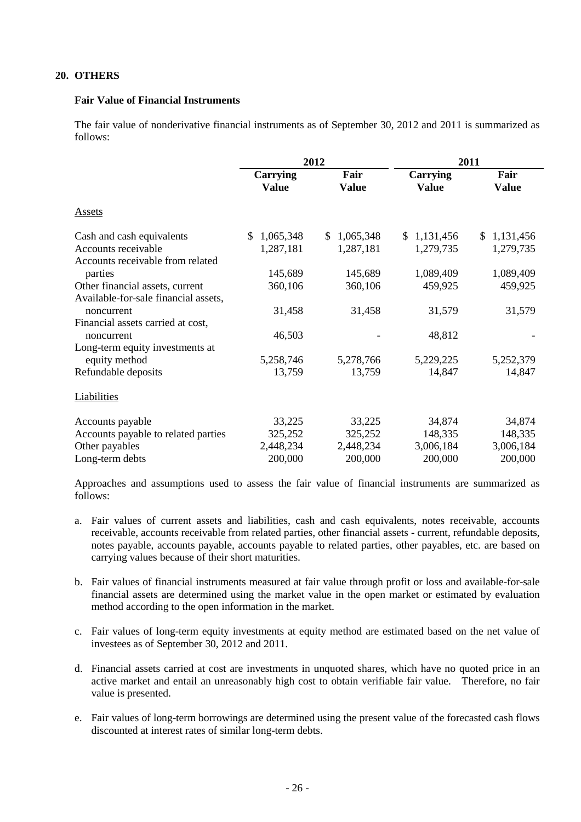## **20. OTHERS**

### **Fair Value of Financial Instruments**

The fair value of nonderivative financial instruments as of September 30, 2012 and 2011 is summarized as follows:

|                                      | 2012                     |                             | 2011                     |                      |
|--------------------------------------|--------------------------|-----------------------------|--------------------------|----------------------|
|                                      | Carrying<br><b>Value</b> | Fair<br><b>Value</b>        | Carrying<br><b>Value</b> | Fair<br><b>Value</b> |
| <b>Assets</b>                        |                          |                             |                          |                      |
| Cash and cash equivalents            | 1,065,348<br>\$.         | 1,065,348<br>$\mathbb{S}^-$ | \$1,131,456              | \$1,131,456          |
| Accounts receivable                  | 1,287,181                | 1,287,181                   | 1,279,735                | 1,279,735            |
| Accounts receivable from related     |                          |                             |                          |                      |
| parties                              | 145,689                  | 145,689                     | 1,089,409                | 1,089,409            |
| Other financial assets, current      | 360,106                  | 360,106                     | 459,925                  | 459,925              |
| Available-for-sale financial assets, |                          |                             |                          |                      |
| noncurrent                           | 31,458                   | 31,458                      | 31,579                   | 31,579               |
| Financial assets carried at cost,    |                          |                             |                          |                      |
| noncurrent                           | 46,503                   |                             | 48,812                   |                      |
| Long-term equity investments at      |                          |                             |                          |                      |
| equity method                        | 5,258,746                | 5,278,766                   | 5,229,225                | 5,252,379            |
| Refundable deposits                  | 13,759                   | 13,759                      | 14,847                   | 14,847               |
| Liabilities                          |                          |                             |                          |                      |
| Accounts payable                     | 33,225                   | 33,225                      | 34,874                   | 34,874               |
| Accounts payable to related parties  | 325,252                  | 325,252                     | 148,335                  | 148,335              |
| Other payables                       | 2,448,234                | 2,448,234                   | 3,006,184                | 3,006,184            |
| Long-term debts                      | 200,000                  | 200,000                     | 200,000                  | 200,000              |
|                                      |                          |                             |                          |                      |

Approaches and assumptions used to assess the fair value of financial instruments are summarized as follows:

- a. Fair values of current assets and liabilities, cash and cash equivalents, notes receivable, accounts receivable, accounts receivable from related parties, other financial assets - current, refundable deposits, notes payable, accounts payable, accounts payable to related parties, other payables, etc. are based on carrying values because of their short maturities.
- b. Fair values of financial instruments measured at fair value through profit or loss and available-for-sale financial assets are determined using the market value in the open market or estimated by evaluation method according to the open information in the market.
- c. Fair values of long-term equity investments at equity method are estimated based on the net value of investees as of September 30, 2012 and 2011.
- d. Financial assets carried at cost are investments in unquoted shares, which have no quoted price in an active market and entail an unreasonably high cost to obtain verifiable fair value. Therefore, no fair value is presented.
- e. Fair values of long-term borrowings are determined using the present value of the forecasted cash flows discounted at interest rates of similar long-term debts.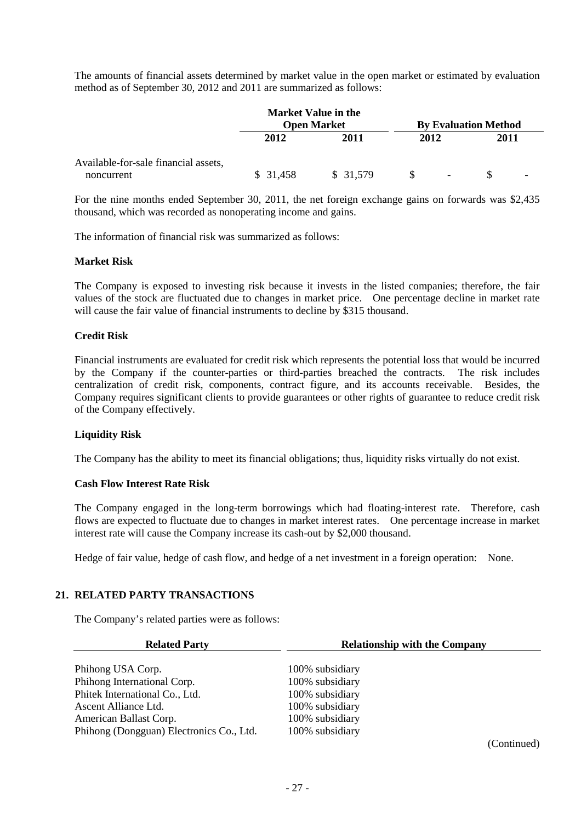The amounts of financial assets determined by market value in the open market or estimated by evaluation method as of September 30, 2012 and 2011 are summarized as follows:

|                                                    |          | <b>Market Value in the</b><br><b>Open Market</b> |      |                          | <b>By Evaluation Method</b> |  |
|----------------------------------------------------|----------|--------------------------------------------------|------|--------------------------|-----------------------------|--|
|                                                    | 2012     | 2011                                             | 2012 |                          | 2011                        |  |
| Available-for-sale financial assets,<br>noncurrent | \$31,458 | \$ 31,579                                        |      | $\overline{\phantom{a}}$ |                             |  |

For the nine months ended September 30, 2011, the net foreign exchange gains on forwards was \$2,435 thousand, which was recorded as nonoperating income and gains.

The information of financial risk was summarized as follows:

#### **Market Risk**

The Company is exposed to investing risk because it invests in the listed companies; therefore, the fair values of the stock are fluctuated due to changes in market price. One percentage decline in market rate will cause the fair value of financial instruments to decline by \$315 thousand.

## **Credit Risk**

Financial instruments are evaluated for credit risk which represents the potential loss that would be incurred by the Company if the counter-parties or third-parties breached the contracts. The risk includes centralization of credit risk, components, contract figure, and its accounts receivable. Besides, the Company requires significant clients to provide guarantees or other rights of guarantee to reduce credit risk of the Company effectively.

## **Liquidity Risk**

The Company has the ability to meet its financial obligations; thus, liquidity risks virtually do not exist.

#### **Cash Flow Interest Rate Risk**

The Company engaged in the long-term borrowings which had floating-interest rate. Therefore, cash flows are expected to fluctuate due to changes in market interest rates. One percentage increase in market interest rate will cause the Company increase its cash-out by \$2,000 thousand.

Hedge of fair value, hedge of cash flow, and hedge of a net investment in a foreign operation: None.

## **21. RELATED PARTY TRANSACTIONS**

The Company's related parties were as follows:

| <b>Related Party</b>                     | <b>Relationship with the Company</b>                                                                                                                                                                                                                                                                    |
|------------------------------------------|---------------------------------------------------------------------------------------------------------------------------------------------------------------------------------------------------------------------------------------------------------------------------------------------------------|
| Phihong USA Corp.                        | 100% subsidiary                                                                                                                                                                                                                                                                                         |
| Phihong International Corp.              | 100% subsidiary                                                                                                                                                                                                                                                                                         |
| Phitek International Co., Ltd.           | 100% subsidiary                                                                                                                                                                                                                                                                                         |
| Ascent Alliance Ltd.                     | 100% subsidiary                                                                                                                                                                                                                                                                                         |
| American Ballast Corp.                   | 100% subsidiary                                                                                                                                                                                                                                                                                         |
| Phihong (Dongguan) Electronics Co., Ltd. | 100% subsidiary                                                                                                                                                                                                                                                                                         |
|                                          | $($ $($ $)$ $($ $)$ $($ $)$ $($ $)$ $($ $)$ $($ $)$ $($ $)$ $($ $)$ $($ $)$ $($ $)$ $($ $)$ $($ $)$ $($ $)$ $($ $)$ $($ $)$ $($ $)$ $($ $)$ $($ $)$ $($ $)$ $($ $)$ $($ $)$ $($ $)$ $($ $)$ $($ $)$ $($ $)$ $($ $)$ $($ $)$ $($ $)$ $($ $)$ $($ $)$ $($ $)$ $($ $)$ $($ $)$ $($ $)$ $($ $)$ $($ $)$ $($ |

(Continued)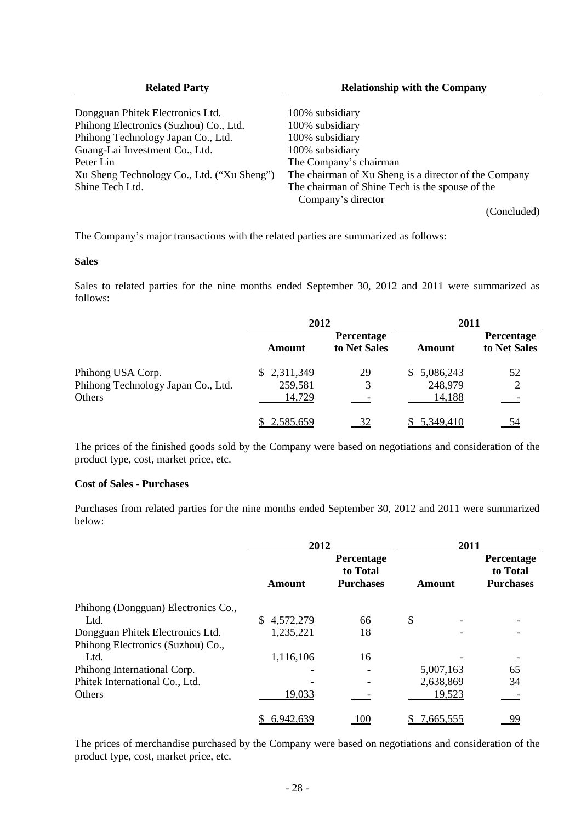| <b>Related Party</b>                       | <b>Relationship with the Company</b>                  |  |  |  |
|--------------------------------------------|-------------------------------------------------------|--|--|--|
| Dongguan Phitek Electronics Ltd.           | 100% subsidiary                                       |  |  |  |
| Phihong Electronics (Suzhou) Co., Ltd.     | 100% subsidiary                                       |  |  |  |
| Phihong Technology Japan Co., Ltd.         | 100% subsidiary                                       |  |  |  |
| Guang-Lai Investment Co., Ltd.             | 100% subsidiary                                       |  |  |  |
| Peter Lin                                  | The Company's chairman                                |  |  |  |
| Xu Sheng Technology Co., Ltd. ("Xu Sheng") | The chairman of Xu Sheng is a director of the Company |  |  |  |
| Shine Tech Ltd.                            | The chairman of Shine Tech is the spouse of the       |  |  |  |
|                                            | Company's director                                    |  |  |  |
|                                            | (Concluded)                                           |  |  |  |

The Company's major transactions with the related parties are summarized as follows:

#### **Sales**

Sales to related parties for the nine months ended September 30, 2012 and 2011 were summarized as follows:

|                                    | 2012        |                            | 2011        |                            |  |
|------------------------------------|-------------|----------------------------|-------------|----------------------------|--|
|                                    | Amount      | Percentage<br>to Net Sales | Amount      | Percentage<br>to Net Sales |  |
| Phihong USA Corp.                  | \$2,311,349 | 29                         | \$5,086,243 | 52                         |  |
| Phihong Technology Japan Co., Ltd. | 259,581     |                            | 248,979     |                            |  |
| Others                             | 14,729      |                            | 14,188      |                            |  |
|                                    | \$2,585,659 | 32                         | \$5,349,410 |                            |  |

The prices of the finished goods sold by the Company were based on negotiations and consideration of the product type, cost, market price, etc.

## **Cost of Sales - Purchases**

Purchases from related parties for the nine months ended September 30, 2012 and 2011 were summarized below:

|                                     | 2012                                                                  |            | 2011      |                                            |  |
|-------------------------------------|-----------------------------------------------------------------------|------------|-----------|--------------------------------------------|--|
|                                     | Percentage<br>to Total<br><b>Purchases</b><br><b>Amount</b><br>Amount |            |           | Percentage<br>to Total<br><b>Purchases</b> |  |
| Phihong (Dongguan) Electronics Co., |                                                                       |            |           |                                            |  |
| Ltd.                                | 4,572,279                                                             | 66         | \$        |                                            |  |
| Dongguan Phitek Electronics Ltd.    | 1,235,221                                                             | 18         |           |                                            |  |
| Phihong Electronics (Suzhou) Co.,   |                                                                       |            |           |                                            |  |
| Ltd.                                | 1,116,106                                                             | 16         |           |                                            |  |
| Phihong International Corp.         |                                                                       |            | 5,007,163 | 65                                         |  |
| Phitek International Co., Ltd.      |                                                                       |            | 2,638,869 | 34                                         |  |
| Others                              | 19,033                                                                |            | 19,523    |                                            |  |
|                                     | 6,942,639                                                             | <u>100</u> | 7,665,555 | 99                                         |  |

The prices of merchandise purchased by the Company were based on negotiations and consideration of the product type, cost, market price, etc.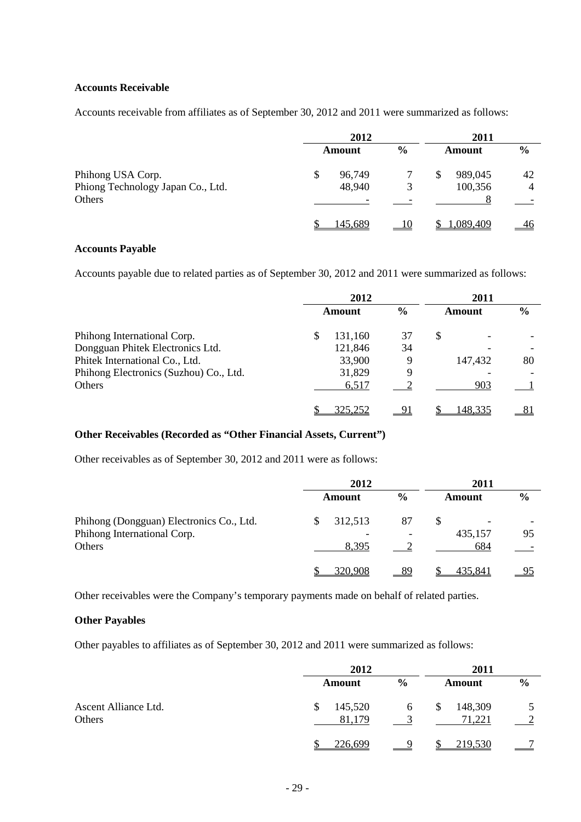## **Accounts Receivable**

Accounts receivable from affiliates as of September 30, 2012 and 2011 were summarized as follows:

|                                   | 2012 |         |               | 2011 |               |               |
|-----------------------------------|------|---------|---------------|------|---------------|---------------|
|                                   |      | Amount  | $\frac{6}{6}$ |      | <b>Amount</b> | $\frac{6}{6}$ |
| Phihong USA Corp.                 |      | 96,749  |               | \$   | 989,045       | 42            |
| Phiong Technology Japan Co., Ltd. |      | 48,940  | 3             |      | 100,356       | 4             |
| Others                            |      |         |               |      |               |               |
|                                   |      | 145,689 |               |      | 1,089,409     | 46            |

## **Accounts Payable**

Accounts payable due to related parties as of September 30, 2012 and 2011 were summarized as follows:

|                                        | 2012   |         | 2011          |    |         |    |
|----------------------------------------|--------|---------|---------------|----|---------|----|
|                                        | Amount |         | $\frac{6}{6}$ |    | Amount  |    |
| Phihong International Corp.            | S      | 131,160 | 37            | \$ |         |    |
| Dongguan Phitek Electronics Ltd.       |        | 121,846 | 34            |    |         |    |
| Phitek International Co., Ltd.         |        | 33,900  | 9             |    | 147,432 | 80 |
| Phihong Electronics (Suzhou) Co., Ltd. |        | 31,829  | 9             |    |         |    |
| Others                                 |        | 6,517   |               |    | 903     |    |
|                                        |        | 325,252 |               |    | 148,335 |    |

## **Other Receivables (Recorded as "Other Financial Assets, Current")**

Other receivables as of September 30, 2012 and 2011 were as follows:

|                                          | 2012    |               | 2011    |               |  |
|------------------------------------------|---------|---------------|---------|---------------|--|
|                                          | Amount  | $\frac{0}{0}$ | Amount  | $\frac{6}{6}$ |  |
| Phihong (Dongguan) Electronics Co., Ltd. | 312,513 | 87            | -       |               |  |
| Phihong International Corp.              |         |               | 435,157 | 95            |  |
| Others                                   | 8,395   |               | 684     |               |  |
|                                          | 320,908 |               | 435.841 |               |  |

Other receivables were the Company's temporary payments made on behalf of related parties.

## **Other Payables**

Other payables to affiliates as of September 30, 2012 and 2011 were summarized as follows:

|                                | 2012              |               |                         |               |
|--------------------------------|-------------------|---------------|-------------------------|---------------|
|                                | Amount            | $\frac{6}{9}$ | <b>Amount</b>           | $\frac{6}{6}$ |
| Ascent Alliance Ltd.<br>Others | 145,520<br>81,179 | 6             | 148,309<br>\$<br>71,221 |               |
|                                | 226,699           |               | 219,530                 |               |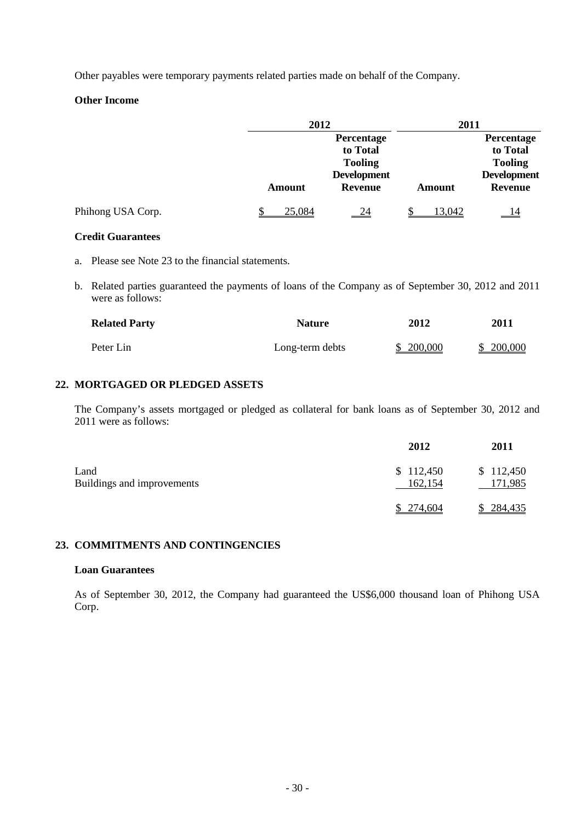Other payables were temporary payments related parties made on behalf of the Company.

## **Other Income**

|                   | 2012          |                    | 2011   |                    |  |  |
|-------------------|---------------|--------------------|--------|--------------------|--|--|
|                   |               | Percentage         |        | Percentage         |  |  |
|                   |               | to Total           |        | to Total           |  |  |
|                   |               | <b>Tooling</b>     |        | <b>Tooling</b>     |  |  |
|                   |               | <b>Development</b> |        | <b>Development</b> |  |  |
|                   | <b>Amount</b> | <b>Revenue</b>     | Amount | <b>Revenue</b>     |  |  |
| Phihong USA Corp. | 25,084        | $\frac{24}{}$      | 13,042 | <u>14</u>          |  |  |

#### **Credit Guarantees**

- a. Please see Note 23 to the financial statements.
- b. Related parties guaranteed the payments of loans of the Company as of September 30, 2012 and 2011 were as follows:

| <b>Related Party</b> | <b>Nature</b>   | 2012      | <b>2011</b> |
|----------------------|-----------------|-----------|-------------|
| Peter Lin            | Long-term debts | \$200,000 | \$200,000   |

## **22. MORTGAGED OR PLEDGED ASSETS**

The Company's assets mortgaged or pledged as collateral for bank loans as of September 30, 2012 and 2011 were as follows:

|                                    | 2012                 | 2011                 |
|------------------------------------|----------------------|----------------------|
| Land<br>Buildings and improvements | \$112,450<br>162,154 | \$112,450<br>171,985 |
|                                    | 274.604              | \$284,435            |

## **23. COMMITMENTS AND CONTINGENCIES**

#### **Loan Guarantees**

As of September 30, 2012, the Company had guaranteed the US\$6,000 thousand loan of Phihong USA Corp.